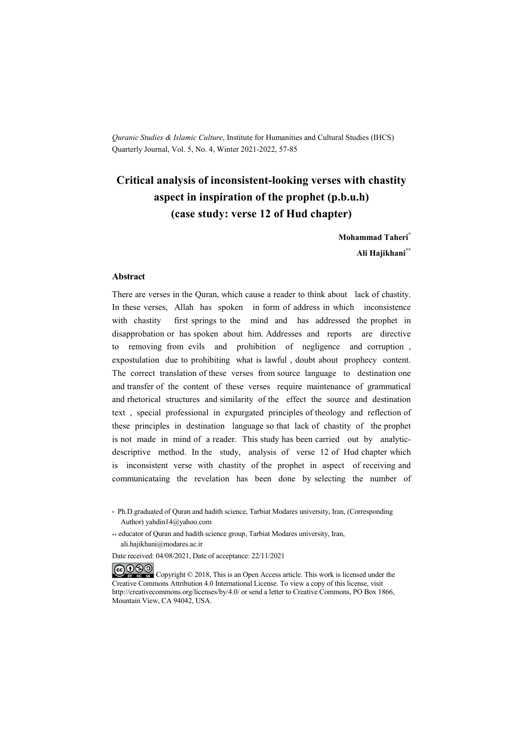*Quranic Studies & Islamic Culture*, Institute for Humanities and Cultural Studies (IHCS) Quarterly Journal, Vol. 5, No. 4, Winter 2021-2022, 57-85

# **Critical analysis of inconsistent-looking verses with chastity aspect in inspiration of the prophet (p.b.u.h) (case study: verse 12 of Hud chapter)**

**Mohammad Taheri\* Ali Hajikhani\*\***

#### **Abstract**

There are verses in the Quran, which cause a reader to think about lack of chastity. In these verses, Allah has spoken in form of address in which inconsistence with chastity first springs to the mind and has addressed the prophet in disapprobation or has spoken about him. Addresses and reports are directive to removing from evils and prohibition of negligence and corruption , expostulation due to prohibiting what is lawful , doubt about prophecy content. The correct translation of these verses from source language to destination one and transfer of the content of these verses require maintenance of grammatical and rhetorical structures and similarity of the effect the source and destination text , special professional in expurgated principles of theology and reflection of these principles in destination language so that lack of chastity of the prophet is not made in mind of a reader. This study has been carried out by analyticdescriptive method. In the study, analysis of verse 12 of Hud chapter which is inconsistent verse with chastity of the prophet in aspect of receiving and communicataing the revelation has been done by selecting the number of

<sup>\*</sup> Ph.D.graduated of Quran and hadith science, Tarbiat Modares university, Iran, (Corresponding Author) yahdin14@yahoo.com

<sup>\*\*</sup> educator of Quran and hadith science group, Tarbiat Modares university, Iran, ali.hajikhani@modares.ac.ir

Date received: 04/08/2021, Date of acceptance: 22/11/2021

COOO Copyright © 2018, This is an Open Access article. This work is licensed under the Creative Commons Attribution 4.0 International License. To view a copy of this license, visit http://creativecommons.org/licenses/by/4.0/ or send a letter to Creative Commons, PO Box 1866, Mountain View, CA 94042, USA.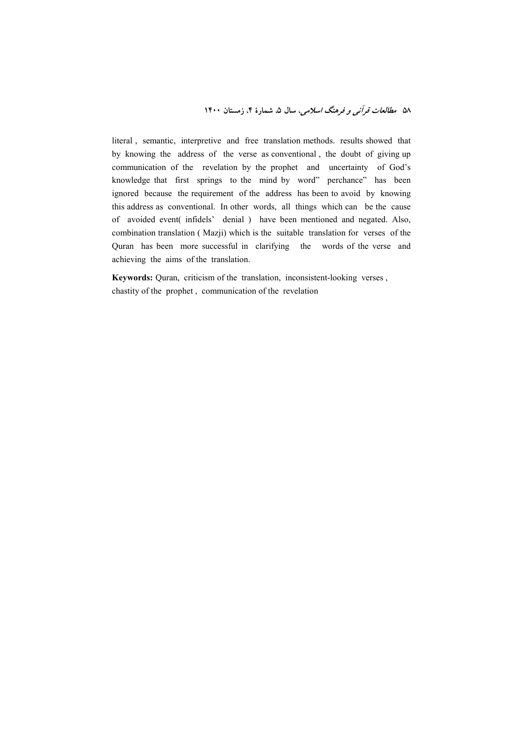literal , semantic, interpretive and free translation methods. results showed that by knowing the address of the verse as conventional , the doubt of giving up communication of the revelation by the prophet and uncertainty of God's knowledge that first springs to the mind by word" perchance" has been ignored because the requirement of the address has been to avoid by knowing this address as conventional. In other words, all things which can be the cause of avoided event( infidels' denial ) have been mentioned and negated. Also, combination translation ( Mazji) which is the suitable translation for verses of the Quran has been more successful in clarifying the words of the verse and achieving the aims of the translation.

**Keywords:** Quran, criticism of the translation, inconsistent-looking verses , chastity of the prophet , communication of the revelation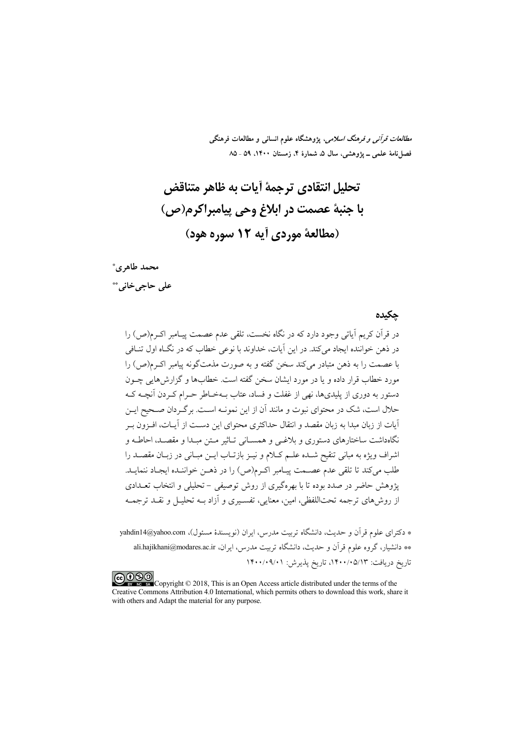*مطالعات قرآنی و فرهنگ اسلامی*، پژوهشگاه علوم انسانی و مطالعات فرهنگی فصلiامهٔ علمی ــ پژوهشی، سال ۵، شمارهٔ ۴، زمستان ۱۴۰۰، ۵۹ ـ ۸۵

تحليل انتقادي ترجمة آيات به ظاهر متناقض با جنبهٔ عصمت در ابلاغ وحی پیامبراکرم(ص) (مطالعة موردي أيه ١٢ سوره هود)

محمد طاهري\*

على حاجي خاني\*\*

### حكىدە

در قرآن کریم آیاتی وجود دارد که در نگاه نخست، تلقی عدم عصمت پیـامبر اکــرم(ص) را در ذهن خواننده ايجاد مي كند. در اين آيات، خداوند با نوعي خطاب كه در نگـاه اول تنــافي با عصمت را به ذهن متبادر می کند سخن گفته و به صورت مذمتگونه پیامبر اک و(ص) را مورد خطاب قرار داده و یا در مورد ایشان سخن گفته است. خطابها و گزارش هایی چــون دستور به دوری از پلیدیها، نهی از غفلت و فساد، عتاب بـهخـاطر حـرام کـردن آنچـه کـه حلال است، شک در محتوای نبوت و مانند آن از این نمونـه اسـت. برگـردان صـحیح ایـن .<br>آیات از زبان مبدا به زبان مقصد و انتقال حداکثری محتوای این دسـت از آیــات، افــزون بــر .<br>نگاهداشت ساختارهای دستوری و بلاغی<sub>م</sub> و همسـانی تـاثیر مـتن مبـدا و مقصـد، احاطــه و اشراف ويژه به مباني تنقيح شـده علــم كــلام و نيــز بازتــاب ايــن مبــاني در زبــان مقصــد را طلب می کند تا تلقی عدم عصـمت پیـامبر اکـرم(ص) را در ذهـن خواننـده ایجـاد ننمایـد. یژوهش حاضر در صدد بوده تا با بهرهگیری از روش توصیفی – تحلیلی و انتخاب تعــدادی از روش۵های ترجمه تحتاللفظی، امین، معنایی، تفسیری و آزاد بـه تحلیــل و نقــد ترجمــه

\* دکترای علوم قرآن و حدیث، دانشگاه تربیت مدرس، ایران (نویسندهٔ مسئول)، yahdin14@yahoo.com \*\* دانشیار، گروه علوم قرآن و حدیث، دانشگاه تربیت مدرس، ایران، ali.hajikhani@modares.ac.ir تاريخ دريافت: ١۴٠٠/٠٥/١٣، تاريخ پذيرش: ١۴٠٠/٠٩/٠١

COOD Copyright © 2018, This is an Open Access article distributed under the terms of the Creative Commons Attribution 4.0 International, which permits others to download this work, share it with others and Adapt the material for any purpose.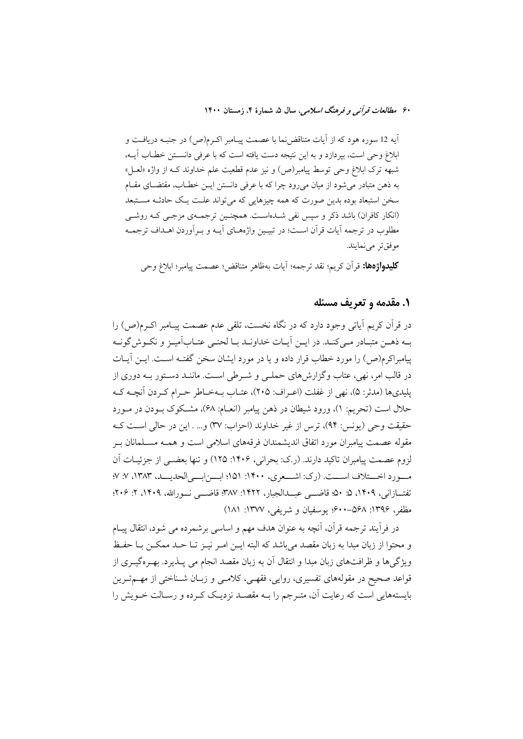۶۰ م*طالعات قرآن<sub>ه ،</sub> و فرهنگ اسلامی*، سال ۵، شمارهٔ ۴، زمستان ۱۴۰۰

اّيه 12 سوره هود كه از اّيات متناقضنما با عصمت ييـامبر اكـرم(ص) در جنبـه دريافـت و ابلاغ وحی است، بپردازد و به این نتیجه دست یافته است که با عرفی دانسـتن خطـاب آیــه، شبهه ترک ابلاغ وحی توسط پیامبر(ص) و نیز عدم قطعیت علم خداوند کـه از واژه «لعـل» به ذهن متبادر می شود از میان میرود چرا که با عرفی دانستن ایــن خطــاب، مقتضــای مقــام سخن استبعاد بوده بدین صورت که همه چیزهایی که می تواند علـت یـک حادثـه مسـتبعد (انکار کافران) باشد ذکر و سپس نفی شـدهاسـت. همچنـین ترجمـهی مزجـی کـه روشـی مطلوب در ترجمه آيات قرآن است؛ در تبيـين واژههـاي آيــه و بـرآوردن اهــداف ترجمــه موفق تر مے نمائند.

**كليدواژهها:** قرآن كريم؛ نقد ترجمه؛ آيات بهظاهر متناقض؛ عصمت پيامبر؛ ابلاغ وحي

## ١. مقدمه و تعريف مسئله

در قرأن كريم أياتي وجود دارد كه در نگاه نخست، تلقى عدم عصمت ييـامبر اكـرم(ص) را بـه ذهــز متبــادر مــي كنــد. در ايــز أيــات خداونــد بــا لحنــي عتــابأميــز و نكــوش گونــه پیامبراکرم(ص) را مورد خطاب قرار داده و یا در مورد ایشان سخن گفتـه اسـت. ایــن آیــات در قالب امر، نهي، عتاب وگزارشهاي حملـي و شـرطي اسـت. ماننـد دسـتور بـه دوري از يليديها (مدثر: ۵)، نهى از غفلت (اعـراف: ۲۰۵)، عتـاب بــهخــاطر حــرام كــردن آنچــه كــه حلال است (تحريم: ١)، ورود شيطان در ذهن پيامبر (انعــام: ۶۸)، مشــكوک بــودن در مــورد حقيقت وحي (يونس: ٩۴)، ترس از غير خداوند (احزاب: ٣٧) و... . اين در حالي است كـه مقوله عصمت پیامبران مورد اتفاق اندیشمندان فرقههای اسلامی است و همـه مسـلمانان بـر لزوم عصمت پیامبران تاکید دارند. (ر.ک: بحرانی، ۱۴۰۶: ۱۲۵) و تنها بعضـی از جزئیــات آن مسورد اخستلاف اسست. (رک: اشسعری، ۱۴۰۰: ۱۵۱؛ ایسن ایسے الحدیسد، ۱۳۸۳، ۷: ۷: تفتـــازاني، ١۴٠٩، ۵: ۵۰؛ قاضـــي عبـــدالجبار، ١۴۲۲: ٣٨٧؛ قاضـــي نـــورالله، ١۴٠٩، ٢: ٢٠۶؛ مظفر، ۱۳۹۶: ۵۶۸–۶۰۰؛ یوسفیان و شریفی، ۱۳۷۷: ۱۸۱)

در فرأيند ترجمه قرأن، أنچه به عنوان هدف مهم و اساسي برشمرده مي شود، انتقال پيــام و محتوا از زبان مبدا به زبان مقصد میباشد که البته ایــن امــر نیــز تــا حــد ممکــن بــا حفــظ ویژگیها و ظرافتهای زبان مبدا و انتقال آن به زبان مقصد انجام می پـذیرد. بهـرهگیــری از قواعد صحیح در مقولههای تفسیری، روایی، فقهـی، کلامـی و زبـان شـناختی از مهــمتــرین بایستههایی است که رعایت آن، متـرجم را بـه مقصـد نزدیـک کـرده و رسـالت خـویش را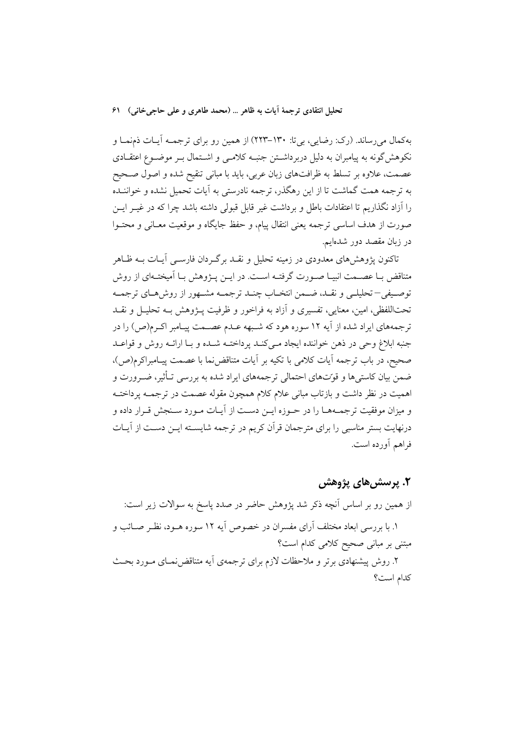## تحليل انتقادي ترجمة آيات به ظاهر ... (محمد طاهري و على حاجي خاني) ۶۱

بهکمال میرساند. (رک: رضایی، بیتا: ۱۳۰–۲۲۳) از همین رو برای ترجمـه اَیـات ذمنمـا و نکوهش گونه به پیامبران به دلیل دربرداشتن جنبه کلامبی و اشتمال بـر موضـوع اعتقــادی عصمت، علاوه بر تسلط به ظرافتهای زبان عربی، باید با مبانی تنقیح شده و اصول صـحیح به ترجمه همت گماشت تا از این رهگذر، ترجمه نادرستی به آیات تحمیل نشده و خواننـده را اَزاد نگذاریم تا اعتقادات باطل و برداشت غیر قابل قبولی داشته باشد چرا که در غیــر ایــن صورت از هدف اساسی ترجمه یعنی انتقال پیام، و حفظ جایگاه و موقعیت معـانی و محتــوا در زبان مقصد دور شدهایم.

تاکنون پژوهشهای معدودی در زمینه تحلیل و نقــد برگــردان فارســی آیــات بــه ظــاهر متناقض بــا عصــمت انبيــا صــورت گرفتــه اســت. در ايــن پــۋوهش بــا آميختــهاي از روش توصیفی–تحلیلے و نقید، ضیمن انتخباب چنید ترجمیه مشیهور از روش هیای ترجمیه تحتاللفظی، امین، معنایی، تفسیری و آزاد به فراخور و ظرفیت پـژوهش بـه تحلیـل و نقــد تر جمههای ایراد شده از آیه ۱۲ سوره هود که شبهه عـدم عصــمت پیـامبر اکـرم(ص) را در جنبه ابلاغ وحي در ذهن خواننده ايجاد مـيكنـد پرداختـه شـده و بـا ارائـه روش و قواعـد صحيح، در باب ترجمه آيات كلامي با تكيه بر آيات متناقضنما با عصمت پيـامبراكرم(ص)، ضمن بیان کاستیها و قوّتهای احتمالی ترجمههای ایراد شده به بررسی تـأثیر، ضـرورت و اهمیت در نظر داشت و بازتاب مبانی علام کلام همچون مقوله عصمت در ترجمــه پرداختــه و میزان موفقیت ترجمـههـا را در حـوزه ایــن دســت از آیــات مــورد ســنجش قــرار داده و درنهایت بستر مناسبی را برای مترجمان قرآن کریم در ترجمه شایسـته ایــن دســت از آیــات فراهم أورده است.

# ۲. پرسش های پژوهش

از همین رو بر اساس آنچه ذکر شد پژوهش حاضر در صدد پاسخ به سوالات زیر است: ١. با بررسی ابعاد مختلف آرای مفسران در خصوص آیه ١٢ سوره هــود، نظـر صــائب و مبتنی بر مبانی صحیح کلامی کدام است؟ ۲. روش پیشنهادی برتر و ملاحظات لازم برای ترجمهی آیه متناقض نمـای مـورد بحـث كدام است؟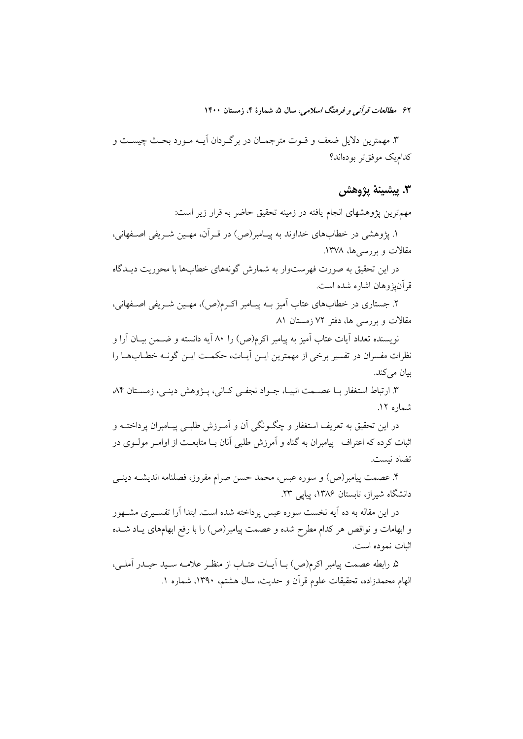۳. مهمترین دلایل ضعف و قــوت مترجمــان در برگــردان آیــه مــورد بحــث چیســت و كداميك موفقتر بودهاند؟

# ٣. ييشينهٔ يژوهش

مهمترین پژوهشهای انجام یافته در زمینه تحقیق حاضر به قرار زیر است:

۱. یژوهشی در خطابهای خداوند به پیـامبر(ص) در قـرأن، مهـین شـریفی اصـفهانی، مقالات و بررسی ها، ۱۳۷۸.

در این تحقیق به صورت فهرستوار به شمارش گونههای خطابها با محوریت دیـدگاه قرأنيژوهان اشاره شده است.

۲. جستاری در خطابهای عتاب آمیز بــه پیــامبر اکــرم(ص)، مهــین شــریفی اصــفهانی، مقالات و بررسی ها، دفتر ۷۲ زمستان ۸۱

نویسنده تعداد آیات عتاب آمیز به پیامبر اکرم(ص) را ۸۰ آیه دانسته و ضـمن بیــان آرا و نظرات مفسران در تفسیر برخی از مهمترین ایــن آیــات، حکمــت ایــن گونــه خطــابـهــا را بیان میکند.

٣. ارتباط استغفار بـا عصـمت انبيـا، جـواد نجفـي كـاني، پــژوهش دينـي، زمسـتان ٨۴، شماره ١٢.

در این تحقیق به تعریف استغفار و چگـونگی آن و آمـرزش طلبـی پیـامبران پرداختــه و اثبات کرده که اعتراف پیامبران به گناه و آمرزش طلبی آنان بـا متابعـت از اوامـر مولــوی در تضاد نست.

۴. عصمت پیامبر(ص) و سوره عبس، محمد حسن صرام مفروز، فصلنامه اندیشــه دینــی دانشگاه شیراز، تابستان ۱۳۸۶، پیایی ۲۳.

در این مقاله به ده آیه نخست سوره عبس پرداخته شده است. ابتدا آرا تفسـیری مشـهور و ابهامات و نواقص هر كدام مطرح شده و عصمت پیامبر(ص) را با رفع ابهامهای یـاد شــده اثبات نمو ده است.

۵. رابطه عصمت پیامبر اکرم(ص) بــا اَیــات عتــاب از منظـر علامــه ســید حیــدر اَملــي، الهام محمدزاده، تحقیقات علوم قرآن و حدیث، سال هشتم، ۱۳۹۰، شماره ۱.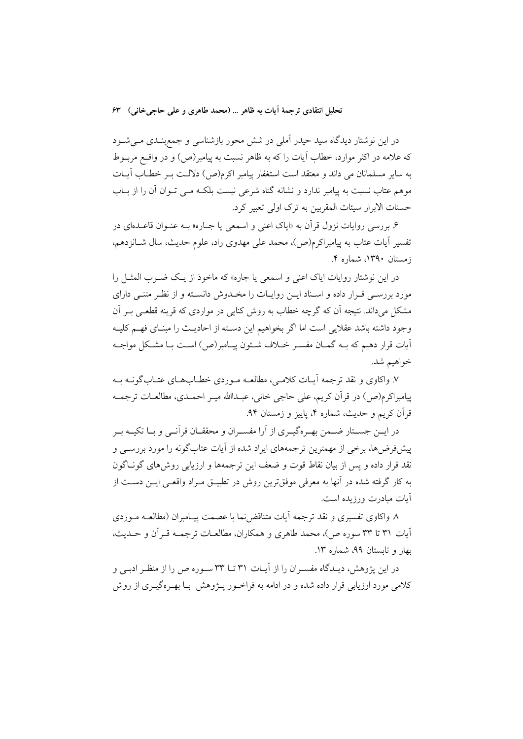تحليل انتقادي ترجمهٔ آيات به ظاهر … (محمد طاهري و علي حاجي خاني) ۶۳

در این نوشتار دیدگاه سید حیدر آملی در شش محور بازشناسی و جمع بنــدی مــیشــود که علامه در اکثر موارد، خطاب آیات را که به ظاهر نسبت به پیامبر(ص) و در واقع مربــوط به سایر مسلمانان می داند و معتقد است استغفار پیامبر اکرم(ص) دلالت بـر خطـاب آیــات موهم عتاب نسبت به پیامبر ندارد و نشانه گناه شرعی نیست بلکـه مـی تــوان آن را از بــاب حسنات الابرار سيئات المقربين به ترك اولى تعبير كرد.

۶. بررسی روایات نزول قرآن به «ایاک اعنی و اسمعی یا جباره» بـه عنـوان قاعـدهای در تفسیر آیات عتاب به پیامبراکرم(ص)، محمد علی مهدوی راد، علوم حدیث، سال شــانزدهم، زمستان ۱۳۹۰، شماره ۴.

در این نوشتار روایات ایاک اعنی و اسمعی یا جاره» که ماخوذ از یـک ضـرب المثــل را مورد بررسے قبرار دادہ و استاد اپن روایات را مخیدوش دانسته و از نظیر متنبی دارای مشکل می داند. نتیجه آن که گرچه خطاب به روش کنایی در مواردی که قرینه قطعـی بـر آن وجود داشته باشد عقلايي است اما اگر بخواهيم اين دسـته از احاديـث را مبنـاي فهـم كليـه اّيات قرار دهيم كه بــه گمــان مفســر خــلاف شــئون پيــامبر(ص) اســت بــا مشــكل مواجــه خواهيم شد.

۷. واکاوي و نقد ترجمه آيـات کلامـي، مطالعــه مــوردي خطــاب\_هــاي عتــاب گونــه بــه پیامبراکرم(ص) در قرآن کریم، علی حاجی خانی، عبـداﷲ میـر احمـدی، مطالعـات ترجمــه قرآن كريم و حديث، شماره ۴، پاييز و زمستان ۹۴.

در ایـــن جســتار ضـــمن بهــرهگیــری از آرا مفســـران و محققــان قر آنــی و بــا تکیــه بــر پیشفر ض۵ا، برخی از مهمترین ترجمههای ایراد شده از آیات عتابگونه را مورد بررسـی و نقد قرار داده و پس از بیان نقاط قوت و ضعف این ترجمهها و ارزیابی روشهای گونــاگون به کار گرفته شده در آنها به معرفی موفقترین روش در تطبیــق مــراد واقعــی ایــن دســت از آبات مبادرت ورزیده است.

٨. وإكاوي تفسيري و نقد ترجمه آيات متناقض نما با عصمت پيـامبران (مطالعــه مــوردي آيات ٣١ تا ٣٣ سوره ص)، محمد طاهري و همكاران، مطالعــات ترجمــه قــران و حــديث، بهار و تابستان ۹۹، شماره ۱۳.

در این پژوهش، دیـدگاه مفسـران را از آیــات ۳۱ تــا ۳۳ سـوره ص را از منظـر ادبــی و کلامی مورد ارزیابی قرار داده شده و در ادامه به فراخــور پــژوهش بــا بهــرهگیــری از روش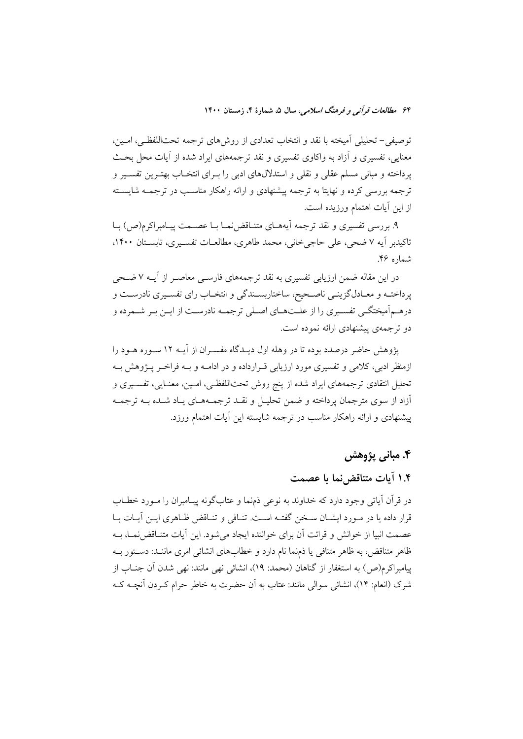۶۴ مطالعات قرآن<sub>می</sub> و فرهنگ *اسلامی*، سال ۵، شمارهٔ ۴، زمستان ۱۴۰۰

توصيفي– تحليلي اّميخته با نقد و انتخاب تعدادي از روشهاى ترجمه تحتاللفظـي، امـين، معنایی، تفسیری و اَزاد به واکاوی تفسیری و نقد ترجمههای ایراد شده از اَیات محل بحـث پرداخته و مبانی مسلم عقلی و نقلی و استدلالهای ادبی را بـرای انتخـاب بهتـرین تفسـیر و ترجمه بررسی کرده و نهایتا به ترجمه پیشنهادی و ارائه راهکار مناسـب در ترجمــه شایســته از اين آيات اهتمام ورزيده است.

۹. بررسی تفسیری و نقد ترجمه آیههـای متنـاقضiمـا بـا عصـمت پیـامبراکرم(ص) بـا تاکیدبر آیه ۷ ضحی، علی حاجی خانی، محمد طاهری، مطالعـات تفسـیری، تابسـتان ۱۴۰۰، شماره ۴۶.

در این مقاله ضمن ارزیابی تفسیری به نقد ترجمههای فارســی معاصــر از آیــه ۷ ضــحی پرداختـه و معـادلگزينـي ناصـحيح، ساختاربسـندگي و انتخـاب راي تفسـيري نادرســت و درهـمأميختگـي تفسـيري را از علـتهـاي اصـلي ترجمـه نادرسـت از ايــن بـر شــمرده و دو ترجمهی پیشنهادی ارائه نموده است.

یژوهش حاضر درصدد بوده تا در وهله اول دیـدگاه مفسـران از آیــه ۱۲ سـوره هــود را ازمنظر ادبی، کلامی و تفسیری مورد ارزیابی قـرارداده و در ادامـه و بـه فراخـر پـژوهش بـه تحلیل انتقادی ترجمههای ایراد شده از پنج روش تحتاللفظـی، امـین، معنـایی، تفسـیری و .<br>آزاد از سوی مترجمان پرداخته و ضمن تحلیـل و نقــد ترجمــههـای یـاد شــده بــه ترجمــه پیشنهادی و ارائه راهکار مناسب در ترجمه شایسته این آیات اهتمام ورزد.

## ۴. مبانی یژوهش

# ١.۴ آيات متناقض نما با عصمت

در قرآن آیاتی وجود دارد که خداوند به نوعی ذمنما و عتابگونه پیـامبران را مــورد خطــاب قرار داده یا در مـورد ایشـان سـخن گفتـه اسـت. تنـافی و تنـاقض ظـاهری ایـن آیـات بـا عصمت انبیا از خوانش و قرائت آن برای خواننده ایجاد می شود. این آیات متنـاقض نمـا، بــه ظاهر متناقض، به ظاهر متنافى يا ذمنما نام دارد و خطابهاى انشائى امرى ماننـد: دســتور بــه ييامبراكرم(ص) به استغفار از گناهان (محمد: ١٩)، انشائی نهی مانند: نهی شدن آن جنــاب از شرک (انعام: ۱۴)، انشائی سوالی مانند: عتاب به اَن حضرت به خاطر حرام کــردن اَنچــه کــه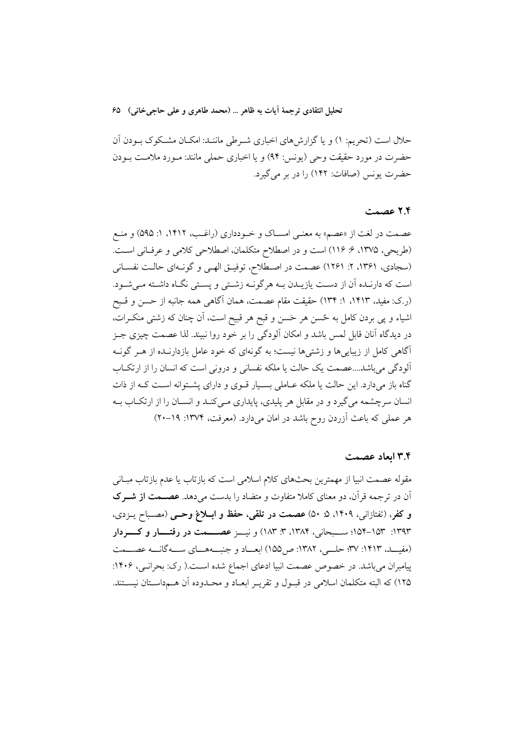تحليل انتقادي ترجمهٔ آيات به ظاهر … (محمد طاهري و على حاجي خاني) ٪

حلال است (تحریم: ۱) و یا گزارشهای اخباری شـرطی ماننـد: امکـان مشـکوک بـودن اَن حضرت در مورد حقیقت وحی (یونس: ۹۴) و یا اخباری حملی مانند: مـورد ملامـت بـودن حضرت یونس (صافات: ۱۴۲) را در بر می گیرد.

#### ۲.۴ عصمت

عصمت در لغت از «عصم» به معنـی امسـاک و خـودداری (راغـب، ١۴۱۲، ۱: ۵۹۵) و منـع (طریحی، ۱۳۷۵، ۶: ۱۱۶) است و در اصطلاح متکلمان، اصطلاحی کلامی و عرفانی است. (سجادی، ۱۳۶۱، ۲: ۱۲۶۱) عصمت در اصطلاح، توفیـق الهـی و گونـهای حالـت نفسـانی است كه دارنـده أن از دسـت يازيـدن بـه هرگونـه زشـتي و پسـتي نگـاه داشـته مـي شـود. (ر.ک: مفید، ۱۴۱۳، ۱: ۱۳۴) حقیقت مقام عصمت، همان آگاهی همه جانبه از حسن و قبح اشیاء و پی بردن کامل به حُسن هر حَسن و قبح هر قبیح است، اَن چنان که زشتی منکـرات، در دیدگاه آنان قابل لمس باشد و امکان آلودگی را بر خود روا نبیند. لذا عصمت چیزی جـز آگاهی کامل از زیباییها و زشتیها نیست؛ به گونهای که خود عامل بازدارنـده از هـر گونـه آلودگی می باشد....عصمت یک حالت یا ملکه نفسانی و درونی است که انسان را از ارتکاب گناه باز میدارد. این حالت یا ملکه عـاملی بسـیار قـوی و دارای پشـتوانه اسـت کـه از ذات انسان سرچشمه میگیرد و در مقابل هر پلیدی، پایداری مـیکنـد و انسـان را از ارتکـاب بـه هر عملی که باعث آزردن روح باشد در امان میدارد. (معرفت، ۱۳۷۴: ۱۹–۲۰)

### ۳.۴ ابعاد عصمت

مقوله عصمت انبیا از مهمترین بحثهای کلام اسلامی است که بازتاب یا عدم بازتاب مبـانی آن در ترجمه قرآن، دو معنای کاملا متفاوت و متضاد را بدست میدهد. عصــمت **از شــرک** و كفر، (تفتازانى، ١۴٠٩، ۵: ۵۰) عصمت در تلقى، حفظ و ابــلاغ وحـــى (مصــباح يــزدى، ۱۳۹۳: ۱۵۳–۱۵۴؛ ســـبحانی، ۱۳۸۴، ۳: ۱۸۳) و نیـــز عصــــمت در رفتـــار و کــــردار (مفيسد، ١٣١٣: ٣٧: حلبي، ١٣٨٢: ص2٥٥) ابعــاد و جنبــههــاي ســه گانــه عصـــمت پیامبران میباشد. در خصوص عصمت انبیا ادعای اجماع شده است.( رک: بحرانبی، ۱۴۰۶: ١٢۵) كه البته متكلمان اسلامي در قبـول و تقريـر ابعـاد و محـدوده آن هــمداسـتان نيسـتند.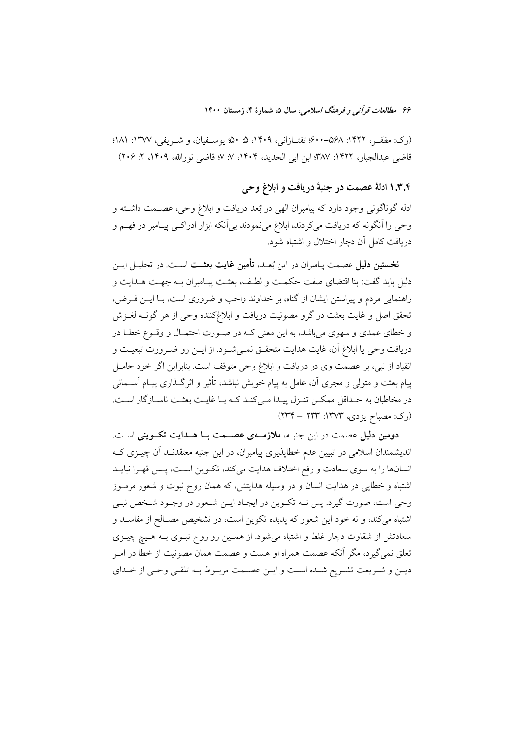(رک: مظفر، ۱۴۲۲: ۵۶۸–۶۰۰؛ تفتـازانی، ۱۴۰۹، ۵: ۵۰؛ یوسـفیان، و شـریفی، ۱۳۷۷: ۱۸۱؛ قاضي عبدالجبار، ١۴٢٢: ٣٨٧؛ ابن ابي الحديد، ١۴٠۴، ٧: ٧؛ قاضي نورالله، ١۴٠٩، ٢: ٢٠۶)

۱.۳.۴ ادلهٔ عصمت در جنبهٔ دریافت و ابلاغ وحی

ادله گوناگونی وجود دارد که پیامبران الهی در بُعد دریافت و ابلاغ وحی، عصــمت داشــته و وحي را انگونه كه دريافت ميكردند، ابلاغ مي نمودند بي انكه ابزار ادراكــي پيــامبر در فهــم و دریافت کامل آن دچار اختلال و اشتباه شود.

<mark>نخستین دلیل</mark> عصمت پیامبران در این بُعـد، **تأمین غایت بعثــت** اســت. در تحلیــل ایــن دلیل باید گفت: بنا اقتضای صفت حکمت و لطـف، بعثـت پیـامبران بــه جهـت هــدایت و راهنمایی مردم و پیراستن ایشان از گناه، بر خداوند واجب و ضروری است، بـا ایــن فــرض، تحقق اصل و غایت بعثت در گرو مصونیت دریافت و ابلاغ،کننده وحی از هر گونــه لغــزش و خطای عمدی و سهوی می باشد، به این معنی کـه در صـورت احتمـال و وقـوع خطـا در دریافت وحی یا ابلاغ آن، غایت هدایت متحقـق نمـیشـود. از ایـن رو ضـرورت تبعیـت و انقیاد از نبی، بر عصمت وی در دریافت و ابلاغ وحی متوقف است. بنابراین اگر خود حامـل پیام بعثت و متولی و مجری آن، عامل به پیام خویش نباشد، تأثیر و اثرگـذاری پیـام آســمانی در مخاطبان به حـداقل ممکــن تنـزل پیــدا مــىکنــد کــه بــا غایــت بعثــت ناســازگار اســت. (رک: مصباح یزدی، ۱۳۷۳: ۲۳۳ – ۲۳۴)

دومین دلیل عصمت در این جنبـه، ملازمــهی عصــمت بــا هــدایت تکــوینی اســت. اندیشمندان اسلامی در تبیین عدم خطایذیری پیامبران، در این جنبه معتقدنــد آن چیــزی کــه انسانها را به سوی سعادت و رفع اختلاف هدایت میکند، تکـوین اسـت، پـس قهـرا نبایــد اشتباه و خطایی در هدایت انسان و در وسیله هدایتش، که همان روح نبوت و شعور مرمـوز وحي است، صورت گيرد. پس نــه تكــوين در ايجــاد ايــن شــعور در وجــود شــخص نبــي اشتباه می کند، و نه خود این شعور که پدیده تکوین است، در تشخیص مصـالح از مفاسـد و سعادتش از شقاوت دچار غلط و اشتباه می شود. از هممین رو روح نبـوی بـه هـیچ چیـزی تعلق نمی گیرد، مگر آنکه عصمت همراه او هست و عصمت همان مصونیت از خطا در امـر ديـن و شـريعت تشـريع شـده اسـت و ايـن عصـمت مربـوط بـه تلقـى وحـى از خـداي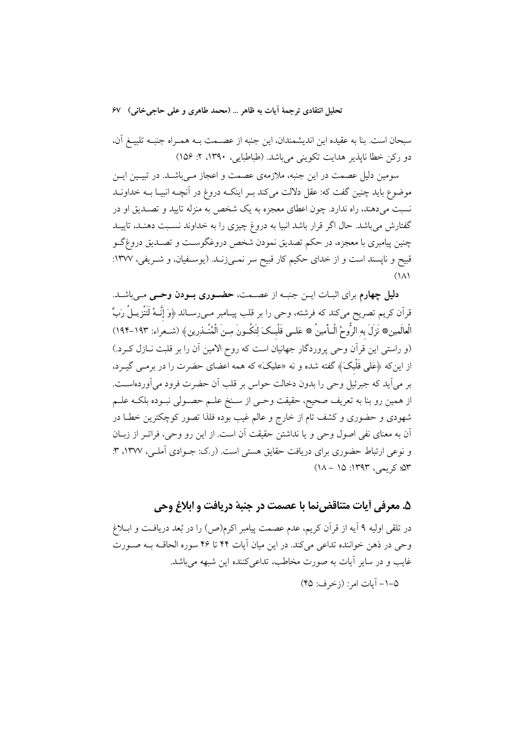تحليل انتقادي ترجمهٔ آيات به ظاهر … (محمد طاهري و على حاجي خاني)

سبحان است. بنا به عقيده اين انديشمندان، اين جنبه از عصــمت بــه همـراه جنبــه تلبيــغ أن، دو رکن خطا ناپذیر هدایت تکوینی می باشد. (طباطبایی، ۱۳۹۰، ۲: ۱۵۶)

سومین دلیل عصمت در این جنبه، ملازمهی عصمت و اعجاز مـی باشــد. در تبیــین ایــن موضوع بايد چنين گفت كه: عقل دلالت ميكند بـر اينكــه دروغ در آنچــه انبيــا بــه خداونــد نسبت می<mark>دهند، راه ندارد. چون اعطای معجزه به</mark> یک شخص به منزله تایید و تصــدیق او در گفتارش می باشد. حال اگر قرار باشد انبیا به دروغ چیزی را به خداوند نسـبت دهنـد، تاییــد چنین پیامبری با معجزه، در حکم تصدیق نمودن شخص دروغگوسـت و تصـدیق دروغگــو قبیح و ناپسند است و از خدای حکیم کار قبیح سر نمــیزنــد. (یوســفیان، و شــریفی، ۱۳۷۷:  $(1<sub>A</sub>)$ 

دلیل چهارم برای اثبـات ایــن جنبــه از عصــمت، حضــوری بــودن وحــی مــیباشــد. قرآن کریم تصریح میکند که فرشته، وحی را بر قلب پیـامبر مــی٫ســاند ﴿وَ إِنَّــهُ لَتَنْزِيــلُ رَبِّ الْعالَمِينِ ۞ نَزِلَ بِهِ الرُّوحُ الْبِأَمِينُ ۞ عَلـى قَلْبِكَ لَتَكُـونَ مـنَ الْمُنْــذِرِينِ﴾ (شبعراء: ١٩٣-١٩٢) (و راستی این قرآن وحی پروردگار جهانیان است که روح الامین آن را بر قلبت نــازل کــرد.) از این که ﴿عَلَمِي قُلْبِکَ﴾ گفته شده و نه «علیکَ» که همه اعضای حضرت را در برمـبي گیــرد، بر مي آيد كه جبرئيل وحي را بدون دخالت حواس بر قلب أن حضرت فرود مي أوردهاست. از همين رو بنا به تعريف صحيح، حقيقت وحـي از سـنخ علـم حصـولي نبـوده بلكـه علـم شهودی و حضوری و کشف تام از خارج و عالم غیب بوده فلذا تصور کوچکترین خطـا در آن به معنای نفی اصول وحی و یا نداشتن حقیقت آن است. از این رو وحی، فراتـر از زبــان و نوعی ارتباط حضوری برای دریافت حقایق هستی است. (ر.ک: جـوادی آملـی، ۱۳۷۷، ۳:  $(1A - 10$ : ۱۳۹۳ کریمی، ۱۳۹۳:

# ۵. معرفي أيات متناقضنما با عصمت در جنبهٔ دريافت و ابلاغ وحي

در تلقی اولیه ۹ آیه از قرآن کریم، عدم عصمت پیامبر اکرم(ص) را در بُعد دریافـت و ابــلاغ وحي در ذهن خواننده تداعي مي كند. در اين ميان آيات ۴۴ تا ۴۶ سوره الحاقــه بــه صــورت غايب و در ساير آيات به صورت مخاطب، تداعي كننده اين شبهه مي باشد. ۵–۱– آبات امر: (زخرف: ۴۵)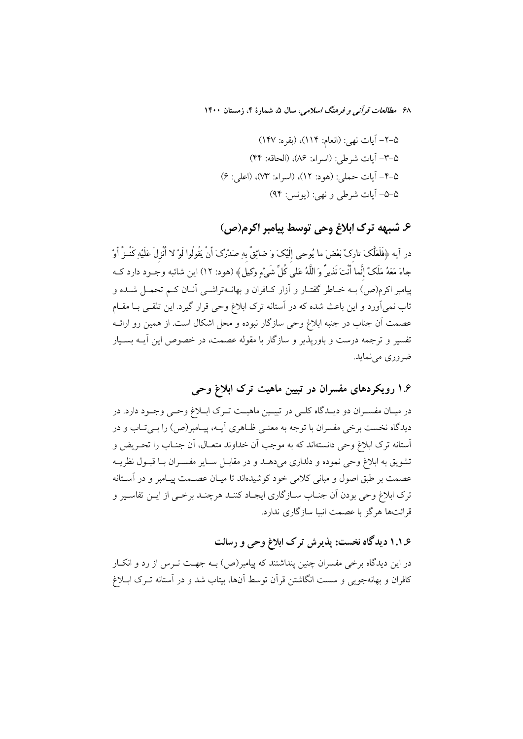# ۶. شبهه ترک ابلاغ وجي توسط پيامبر اکرم(ص)

در آيه ﴿فَلَعَلَّكَ تارکٌ بَعْضَ ما يُوحى إِلَيْکَ وَ ضائِقٌ بهِ صَدْرُکَ أَنْ يَقُولُوا لَوْ لا أُنْزِلَ عَلَيْهِ كَنْـزٌ أَوْ جاءَ مَعَهُ مَلَکٌ إِنَّما أَنْتَ نَذيرٌ وَ اللَّهُ عَلى كُلِّ شَيْءٍ وَكيلٍ﴾ (هود: ١٢) اين شائبه وجـود دارد كـه پیامبر اکرم(ص) بــه خــاطر گفتــار و آزار کــافران و بهانــهتراشــی آنــان کــم تحمــل شــده و تاب نمی آورد و این باعث شده که در اَستانه ترک ابلاغ وحی قرار گیرد. این تلقـی بــا مقــام عصمت أن جناب در جنبه ابلاغ وحي سازگار نبوده و محل اشكال است. از همين رو ارائــه تفسیر و ترجمه درست و باورپذیر و سازگار با مقوله عصمت، در خصوص این آیــه بســیار ضروري مي نمايد.

# ۱.۶ رویکردهای مفسران در تبیین ماهیت ترک ابلاغ وحی

در میـان مفســران دو دیــدگاه کلــی در تبیــین ماهیــت تــرک ابــلاغ وحــی وجــود دارد. در دیدگاه نخست برخی مفسران با توجه به معنبی ظـاهری آیــه، پیـامبر(ص) را بــی تــاب و در استانه ترک ابلاغ وحی دانستهاند که به موجب آن خداوند متعـال، آن جنــاب را تحــريض و تشويق به ابلاغ وحي نموده و دلداري مي دهـد و در مقابــل ســاير مفســران بــا قبــول نظريــه عصمت بر طبق اصول و مبانی کلامی خود کوشیدهاند تا میـان عصــمت پیـامبر و در آســتانه ترک ابلاغ وحی بودن اّن جنــاب ســازگاری ایجــاد کننــد هرچنــد برخــی از ایــن تفاســیر و قرائتها هرگز با عصمت انبیا سازگاری ندارد.

# ۱.۱.۶ دیدگاه نخست: پذیرش ترک ابلاغ وحی و رسالت

در این دیدگاه برخی مفسران چنین پنداشتند که پیامبر(ص) بــه جهــت تــرس از رد و انکــار كافران و بهانهجویی و سست انگاشتن قرآن توسط آنها، بیتاب شد و در آستانه تـرک ابــلاغ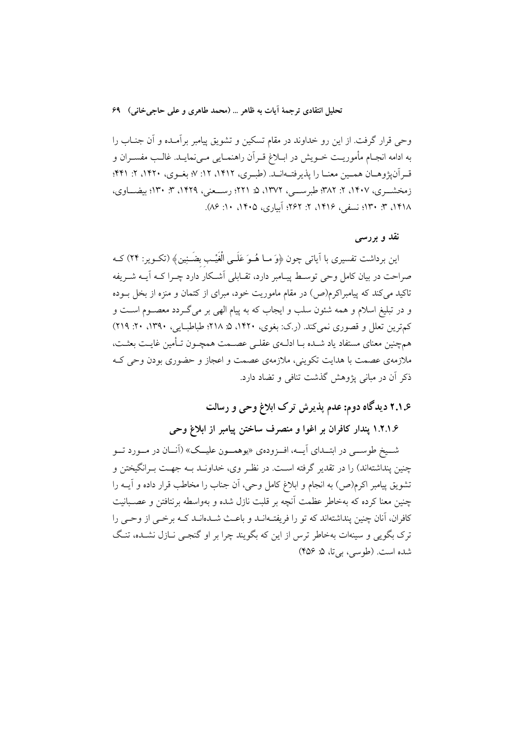### تحليل انتقادي ترجمهٔ آيات به ظاهر … (محمد طاهري و على حاجي خاني) ﴾ م

وحی قرار گرفت. از این رو خداوند در مقام تسکین و تشویق پیامبر برآمـده و آن جنــاب را به ادامه انجــام مأموريــت خــويش در ابــلاغ قــراًن راهنمــايي مــي'ممايــد. غالــب مفســران و قـرآنپژوهـان همـين معنـا را پذيرفتـهانـد. (طبـري، ١٤١٢، ١٢: ٧؛ بغـوي، ١٤٢٠، ٢: ۴۴۱؛ زمخشـــري، ١۴٠٧، ٢: ٣٨٢؛ طبرســـي، ١٣٧٢، ۵: ٢٢١؛ رســـعني، ١۴٢٩، ٣: ١٣٠؛ بيضــــاوي، ١٣١٨، ٣: ١٣٠؛ نسفي، ١٣١۶، ٢: ٢۶٢؛ آبياري، ١٠: ١٤/. ١٠: ٨۶).

### نقد و بررسی

این برداشت تفسیری با آیاتی چون ﴿وَ مــا هُــوَ عَلَــی الْغَیْــب بضَــنِین﴾ (تکــویر: ۲۴) کــه صراحت در بیان کامل وحی توسط پیـامبر دارد، تقـابلی آشـکار دارد چـرا کــه آیــه شــریفه تاکید میکند که پیامبراکرم(ص) در مقام ماموریت خود، مبرای از کتمان و منزه از بخل بــوده و در تبلیغ اسلام و همه شئون سلب و ایجاب که به پیام الهی بر میگـردد معصـوم اسـت و کم ترین تعلل و قصوری نمی کند. (رک: بغوی، ۱۴۲۰، ۵ ۲۱۸؛ طباطبایی، ۱۳۹۰، ۲۰. ۲۱۹) همچنین معنای مستفاد یاد شـده بــا ادلــهی عقلــی عصــمت همچــون تــأمین غایــت بعثــت، ملازمهی عصمت با هدایت تکوینی، ملازمهی عصمت و اعجاز و حضوری بودن وحی ک ذکر اَن در مبانی پژوهش گذشت تنافی و تضاد دارد.

# ۲.۱.۶ دیدگاه دوم: عدم پذیرش ترک ابلاغ وحی و رسالت

۱.۲.۱.۶ يندار كافران بر اغوا و منصرف ساختن پيامبر از ابلاغ وحي

شــيخ طوســـي در ابتــداي اّيـــه، افــزودهي «يوهمـــون عليـــك» (اَنــان در مــورد تــو چنین پنداشتهاند) را در تقدیر گرفته است. در نظـر وی، خداونــد بــه جهــت بــرانگیختن و تشويق پيامبر اكرم(ص) به انجام و ابلاغ كامل وحي، آن جناب را مخاطب قرار داده و آيــه را چنین معنا کرده که بهخاطر عظمت آنچه بر قلبت نازل شده و بهواسطه برنتافتن و عصـبانیت کافران، آنان چنین پنداشتهاند که تو را فریفتـهانــد و باعـث شــدهانــد کــه برخــی از وحــی را ترک بگویی و سینهات بهخاطر ترس از این که بگویند چرا بر او گنجـبی نــازل نشــده، تنـگ شده است. (طوسي، بي تا، ۵: ۴۵۶)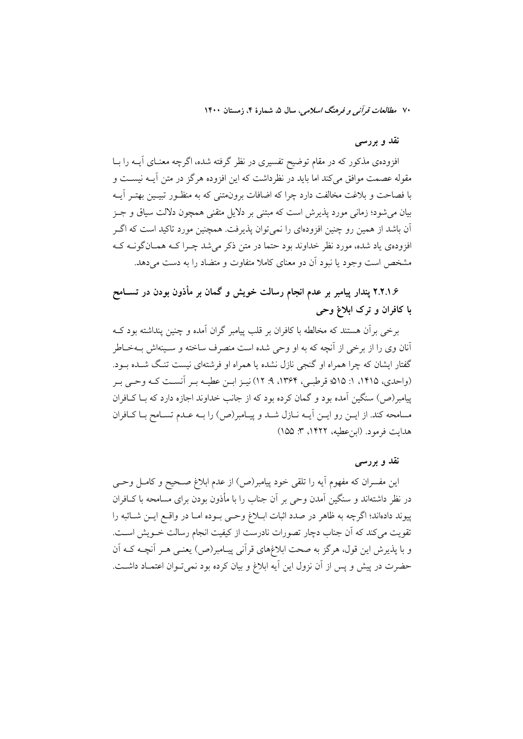نقد و بررسی

افزودهی مذکور که در مقام توضیح تفسیری در نظر گرفته شده، اگرچه معنـای آیــه را بــا مقوله عصمت موافق می کند اما باید در نظرداشت که این افزوده هرگز در متن آیــه نیســت و با فصاحت و بلاغت مخالفت دارد چرا که اضافات برونαتنی که به منظـور تبیـین بهتـر اَیــه بیان می شود؛ زمانی مورد پذیرش است که مبتنی بر دلایل متقنی همچون دلالت سیاق و جـز آن باشد از همین رو چنین افزودهای را نمی توان پذیرفت. همچنین مورد تاکید است که اگــر افزودهي ياد شده، مورد نظر خداوند بود حتما در متن ذكر مي شد چـرا كــه همــانگونــه كــه مشخص است وجود یا نبود آن دو معنای کاملا متفاوت و متضاد را به دست می دهد.

# ۲.۲.۱.۶ پندار پیامبر بر عدم انجام رسالت خویش و گمان بر مأذون بودن در تســامح با کافران و ترک ابلاغ وحی

برخی بر آن هستند که مخالطه با کافران بر قلب پیامبر گران آمده و چنین پنداشته بود ک آنان وي را از برخي از آنچه كه به او وحي شده است منصرف ساخته و سـينهاش بــهخــاطر گفتار ایشان که چرا همراه او گنجی نازل نشده یا همراه او فرشتهای نیست تنگ شـده بــود. (واحدی، ۱۴۱۵، ۱: ۱۵۵؛ قرطبی، ۱۳۶۴، ۹: ۱۲) نیبز این عطیبه بیر آنست کیه وجبی پ پیامبر(ص) سنگین آمده بود و گمان کرده بود که از جانب خداوند اجازه دارد که بــا کــافران مسامحه كند. از ايـن رو ايـن آيـه نـازل شـد و پيـامبر(ص) را بـه عـدم تسـامح بـا كـافران هدايت فرمود. (ابن عطيه، ١٤٢٢، ٣: ١٥٥)

### نقد و بررسی

این مفسران که مفهوم آیه را تلقی خود پیامبر(ص) از عدم ابلاغ صـحیح و کامـل وحـی در نظر داشتهاند و سنگین آمدن وحی بر آن جناب را با مأذون بودن برای مسامحه با کــافران پیوند دادهاند؛ اگرچه به ظاهر در صدد اثبات ابـلاغ وحـی بـوده امـا در واقـع ایـن شـائبه را تقويت مي كند كه آن جناب دچار تصورات نادرست از كيفيت انجام رسالت خــويش اســت. و با پذیرش این قول، هرگز به صحت ابلاغهای قرآنی پیـامبر(ص) یعنـی هـر آنچـه کـه آن حضرت در پیش و پس از آن نزول این آیه ابلاغ و بیان کرده بود نمی تـوان اعتمـاد داشـت.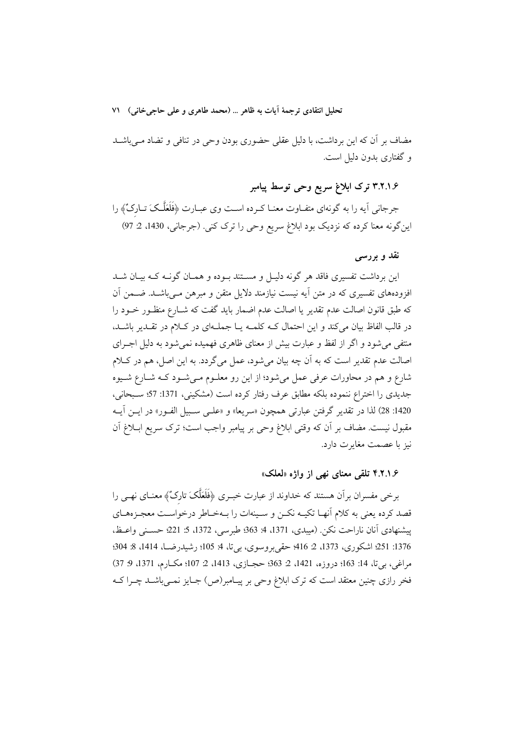تحليل انتقادي ترجمة آيات به ظاهر ... (محمد طاهري و على حاجي خاني) ٧١

مضاف بر آن که این برداشت، با دلیل عقلی حضوری بودن وحی در تنافی و تضاد مـیباشــد و گفتاری بدون دلیل است.

۳.۲.۱.۶ ترک ابلاغ سریع وحی توسط پیامبر

جرجانی اَیه را به گونهای متفـاوت معنـا کـرده اسـت وی عبـارت ﴿فَلَعَلَّـکَ تـارکٌ﴾ را اینگونه معنا کرده که نزدیک بود ابلاغ سریع وحی را ترک کنی. (جرجانی، 1430، 2 97)

### نقد و بررسی

این برداشت تفسیری فاقد هر گونه دلیـل و مســتند بـوده و همــان گونــه کــه بیــان شــد افزودههای تفسیری که در متن آیه نیست نیازمند دلایل متقن و مبرهن مـی،باشــد. ضــمن آن که طبق قانون اصالت عدم تقدیر یا اصالت عدم اضمار باید گفت که شــارع منظـور خــود را در قالب الفاظ بیان میکند و این احتمال کـه کلمـه یـا جملـهای در کـلام در تقـلدیر باشـلـه، منتفی میشود و اگر از لفظ و عبارت بیش از معنای ظاهری فهمیده نمیشود به دلیل اجــرای اصالت عدم تقدیر است که به آن چه بیان می شود، عمل می گردد. به این اصل، هم در کـلام شارع و هم در محاورات عرفی عمل میشود؛ از این رو معلـوم مـیشـود کـه شـارع شـیوه جديدي را اختراع ننموده بلكه مطابق عرف رفتار كرده است (مشكيني، 1371: 57؛ سبحاني، 1420: 28) لذا در تقدير گرفتن عبارتي همچون «سريعا» و «علـي سـبيل الفـور» در ايـن أيــه مقبول نيست. مضاف بر آن كه وقتى ابلاغ وحى بر پيامبر واجب است؛ ترك سريع ابـلاغ آن نبز یا عصمت مغایرت دارد.

۴.۲.۱.۶ تلقی معنای نهی از واژه «لعلک»

برخی مفسران براّن هستند که خداوند از عبارت خبـری ﴿فَلَعَلَّکَ تارکٌ﴾ معنـای نهـی را قصد کرده یعنی به کلام آنهـا تکیـه نکـن و سـینهات را بـهخـاطر درخواسـت معجـزههـای ييشنهادي آنان ناراحت نكن. (ميبدي، 1371، 4 363؛ طبرسي، 1372، 5: 221؛ حسني واعظ، 1376: 251؛ اشكوري، 1373، 2 416؛ حقى بروسوي، بي تا، 4 105؛ رشيدرضـا، 1414، 8: 304؛ مراغي، بي تا، 14: 163؛ دروزه، 1421، 2 363 حجـازي، 1413، 2 107؛ مكـارم، 1371، 9 37) فخر رازی چنین معتقد است که ترک ابلاغ وحی بر پیـامبر(ص) جـایز نمـی باشــد چــرا کــه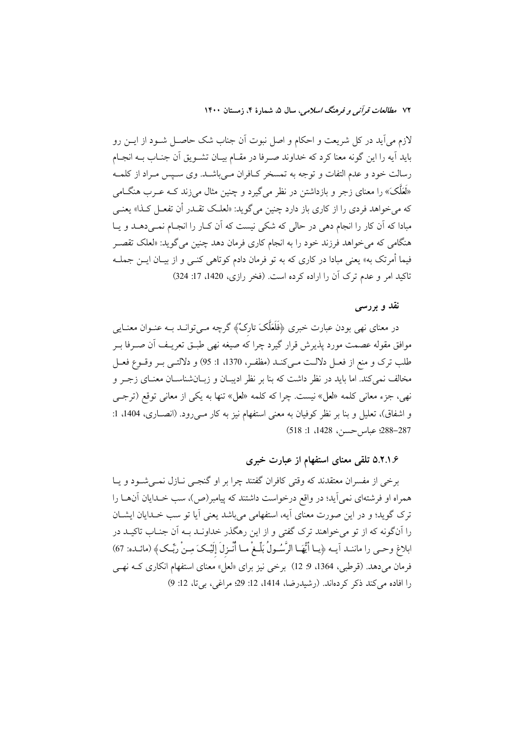لازم می]ید در کل شریعت و احکام و اصل نبوت آن جناب شک حاصـل شــود از ایــن رو بايد آيه را اين گونه معنا كرد كه خداوند صـرفا در مقــام بيــان تشــويق آن جنــاب بــه انجــام رسالت خود و عدم التفات و توجه به تمسخر كـافران مـىباشـد. وى سـيس مـراد از كلمـه «لَعَلَّکَ» را معنای زجر و بازداشتن در نظر میگیرد و چنین مثال می;زند کــه عــرب هنگــامی که می خواهد فردی را از کاری باز دارد چنین می گوید: «لعلک تقــدر أن تفعــل کــذا» یعنــی مبادا که اَن کار را انجام دهی در حالی که شکی نیست که اَن کبار را انجبام نمبے دهید و پیا هنگامی که می خواهد فرزند خود را به انجام کاری فرمان دهد چنین می گوید: «لعلک تقصـر فیما أمرتک به» یعنی مبادا در کاری که به تو فرمان دادم کوتاهی کنـبی و از بیـان ایــن جملــه تاکید امر و عدم ترک آن را اراده کرده است. (فخر رازی، 1420، 17: 324)

### نقد و بررسی

در معنای نهی بودن عبارت خبری ﴿فَلَعَلَّکَ تارکٌ﴾ گرچه مـیتوانــد بــه عنــوان معنــایی موافق مقوله عصمت مورد پذیرش قرار گیرد چرا که صیغه نهی طبــق تعریــف آن صــرفا بــر طلب ترك و منع از فعـل دلالـت مـيكنـد (مظفـر، 1370، 1: 95) و دلالتـي بـر وقــوع فعــل مخالف نمی کند. اما باید در نظر داشت که بنا بر نظر ادیبـان و زبـانشناسـان معنـای زجـر و .<br>نهی، جزء معانی کلمه «لعل» نیست. چرا که کلمه «لعل» تنها به یکی از معانی توقع (ترجـی و اشفاق)، تعلیل و بنا بر نظر کوفیان به معنی استفهام نیز به کار مـیرود. (انصـاری، 1404، 1: 287–288؛ عباس حسن، 1428، 1: 518)

۵.۲.۱.۶ تلقی معنای استفهام از عبارت خبری

برخی از مفسران معتقدند که وقتی کافران گفتند چرا بر او گنجــی نــازل نمــی شــود و یــا همراه او فرشتهای نمی آید؛ در واقع درخواست داشتند که پیامبر(ص)، سب خــدایان آنهــا را ترک گوید؛ و در این صورت معنای آیه، استفهامی می باشد یعنی آیا تو سب خـدایان ایشــان را آنگونه که از تو می خواهند ترک گفتی و از این رهگذر خداونـد بــه آن جنــاب تاکیــد در ابلاغ وحـى را مانــٰد اَيــه ﴿يـا أَيُّهَـا الرَّسُـولُ بَلّــغْ مـا أُنْــزلَ إِلَيْــكَ مِــنْ رَبِّـك﴾ (مائــده: 67) فرمان می،دهد. (قرطبی، 1364، 9 12) برخی نیز برای «لعل» معنای استفهام انکاری کــه نهــی را افاده مي كند ذكر كردهاند. (رشيدرضا، 1414، 12: 29 مراغي، بي تا، 12: 9)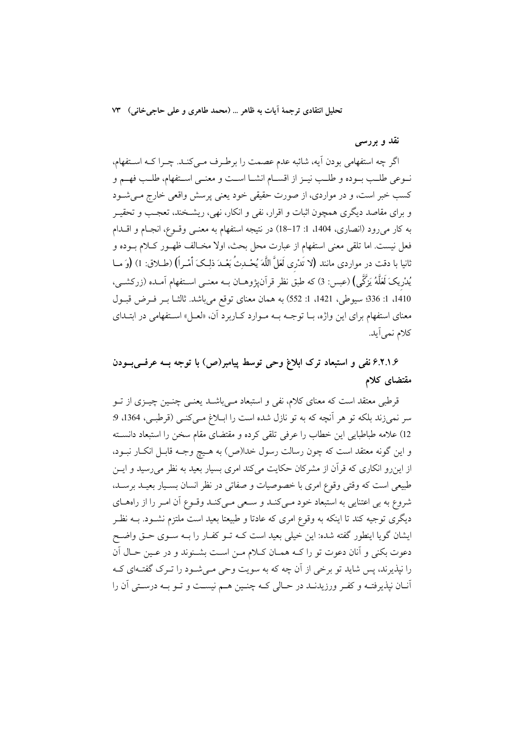تحليل انتقادي ترجمهٔ آيات به ظاهر ... (محمد طاهري و على حاجي خاني) ٧٣

نقد و بررسی

اگر چه استفهامی بودن آیه، شائبه عدم عصمت را برطرف مـیکنـد. چـرا کــه اسـتفهام، نسوعي طلب بسوده و طلب نيسز از اقسسام انشسا است و معنسي استفهام، طلب فهسم و کسب خبر است، و در مواردی، از صورت حقیقی خود یعنی پرسش واقعی خارج مـیشــود و برای مقاصد دیگری همچون اثبات و اقرار، نفی و انکار، نهی، ریشـخند، تعجـب و تحقیـر به كار مىرود (انصارى، 1404، 1: 17–18) در نتيجه استفهام به معنـى وقـوع، انجـام و اقــدام فعل نیست. اما تلقی معنی استفهام از عبارت محل بحث، اولا مخــالف ظهــور کـــلام بــوده و ثانيا با دقت در مواردي مانند (لا تَدْري لَعَلَّ اللَّهَ يُحْـدِثُ بَعْـدَ ذلِـكَ أَمْـراً) (طــلاق: 1) (وَ مــا يُدْرِيكَ لَعَلَّهُ يَزَّقَّى) (عبس: 3) كه طبق نظر قرآنپژوهــان بــه معنــى اســتفهام أمــده (زركشــى، 1410، 1: 336؛ سيوطي، 1421، 1: 552) به همان معناى توقع مىباشد. ثالثـا بـر فـرض قبـول معنای استفهام برای این واژه، بــا توجــه بــه مــوارد کــاربرد آن. «لعــل» اســتفهامی در ابتــدای كلام نمي آيد.

۶.۲.۱.۶ نفی و استبعاد ترک ابلاغ وحی توسط پیامبر(ص) با توجه بــه عرفــیبــودن مقتضاي كلام

قرطبی معتقد است که معنای کلام، نفی و استبعاد مـیباشــد یعنــی چنــین چیــزی از تــو سر نمیزند بلکه تو هر اَنچه که به تو نازل شده است را ابـلاغ مـیکنـی (قرطبـی، 1364، 9: 12) علامه طباطبايي اين خطاب را عرفي تلقى كرده و مقتضاى مقام سخن را استبعاد دانسته و این گونه معتقد است که چون رسالت رسول خدا(ص) به هـیچ وجـه قابـل انکـار نبـود، از این رو انکاری که قرآن از مشرکان حکایت میکند امری بسیار بعید به نظر می رسید و ایــن طبیعی است که وقتی وقوع امری با خصوصیات و صفاتی در نظر انسان بسـیار بعیـد برسـد، شروع به بی اعتنایی به استبعاد خود مـیکنـد و سـعی مـیکنـد وقـوع آن امـر را از راههـای دیگری توجیه کند تا اینکه به وقوع امری که عادتا و طبیعتا بعید است ملتزم نشــود. بــه نظــر ایشان گویا اینطور گفته شده: این خیلی بعید است کـه تـو کفـار را بـه سـوی حـق واضـح دعوت بكني و أنان دعوت تو را كـه همـان كـلام مـن اسـت بشـنوند و در عـين حـال أن را نیذیرند، پس شاید تو برخی از آن چه که به سویت وحی مـی شـود را تـرک گفتـهای کـه آنـان نپذیرفتــه و کفــر ورزیدنــد در حــالی کــه چنــین هــم نیســت و تــو بــه درســتی اَن را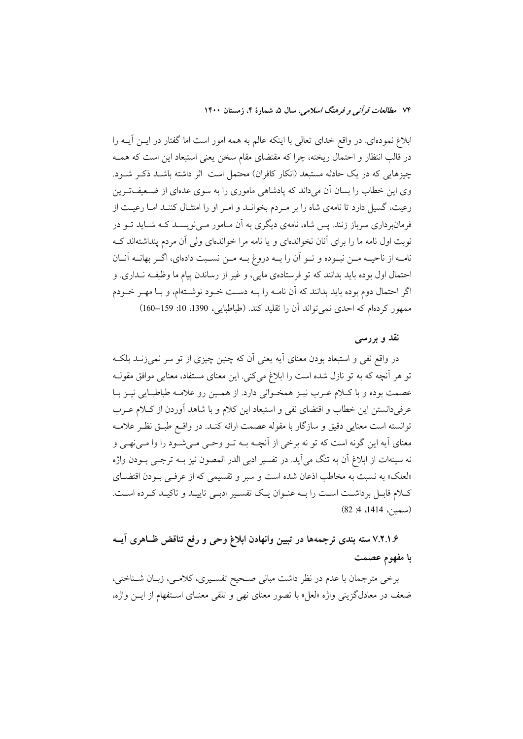ابلاغ نمودهای در واقع خدای تعالی با اینکه عالم به همه امور است اما گفتار در ایـن آیــه را در قالب انتظار و احتمال ریخته، چرا که مقتضای مقام سخن یعنی استبعاد این است که همـه چیزهایی که در یک حادثه مستبعد (انکار کافران) محتمل است اثر داشته باشـد ذکـر شـود. وی این خطاب را بسان آن میداند که یادشاهی ماموری را به سوی عدمای از ضـعیفـتـرین رعیت، گسیل دارد تا نامهی شاه را بر مـردم بخوانـد و امـر او را امتثـال کننـد امـا رعیـت از فرمانبرداری سرباز زنند. پس شاه، نامهی دیگری به آن مـامور مـی;نویسـد کــه شــاید تــو در نوبت اول نامه ما را برای آنان نخواندهای و یا نامه مرا خواندهای ولی آن مردم پنداشتهاند ک نامـه از ناحيــه مــن نبــوده و تــو آن را بــه دروغ بــه مــن نســبت دادهاي، اگــر بهانــه آنــان احتمال اول بوده بايد بدانند كه تو فرستادهى مايى، و غير از رساندن پيام ما وظيف ندارى. و اگر احتمال دوم بوده باید بدانند که آن نامـه را بـه دسـت خـود نوشـتهام، و بـا مهـر خـودم ممهور كردهام كه احدى نمي تواند أن را تقليد كند. (طباطبايي، 1390، 10: 159–160)

### نقد و بررسی

در واقع نفی و استبعاد بودن معنای آیه یعنی آن که چنین چیزی از تو سر نمیزنــد بلکــه تو هر آنچه که به تو نازل شده است را ابلاغ میکنی. این معنای مستفاد، معنایی موافق مقول عصمت بوده و با كـلام عـرب نيـز همخـواني دارد. از همـين رو علامـه طباطبـايي نيـز بـا عرفي دانستن اين خطاب و اقتضاى نفي و استبعاد اين كلام و با شاهد آوردن از كـلام عــرب توانسته است معنایی دقیق و سازگار با مقوله عصمت ارائه کنـد. در واقــع طبــق نظـر علامــه معنای آیه این گونه است که تو نه برخی از آنچـه بـه تـو وحـی مـیشـود را وا مـینهـی و نه سينهات از ابلاغ آن به تنگ مي]يد. در تفسير ادبي الدر المصون نيز بــه ترجــي بــودن واژه «لعلک» به نسبت به مخاطب اذعان شده است و سبر و تقسیمی که از عرفـی بـودن اقتضـای كلام قابـل برداشـت اسـت را بـه عنـوان يـك تفسـير ادبـي تاييـد و تاكيـد كـرده اسـت.  $(82.4.1414, 8.0)$ سمبن، 1414

۰.۲.۱٪ سته بندی ترجمهها در تبیین وانهادن ابلاغ وحی و رفع تناقض ظـاهری ایــه با مفهوم عصمت

برخی مترجمان با عدم در نظر داشت مبانی صـحیح تفسـیری، کلامـی، زبـان شـناختی، ضعف در معادلگزيني واژه «لعل» با تصور معناي نهي و تلقى معنــاي اســتفهام از ايــن واژه،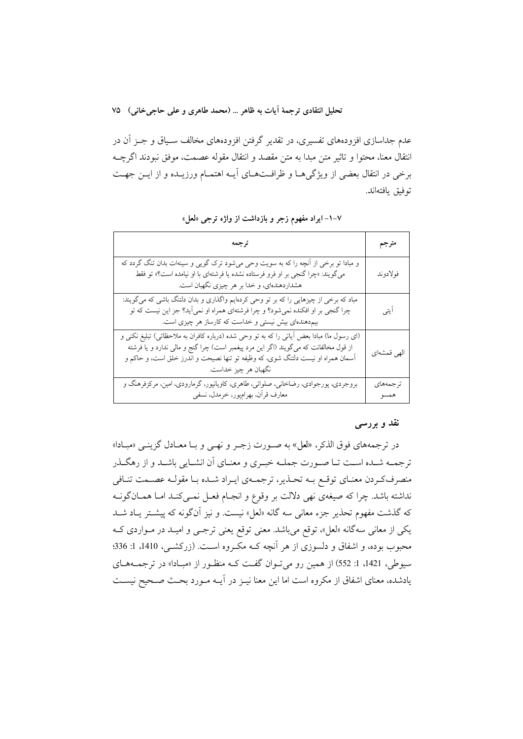تحليل انتقادي ترجمة آيات به ظاهر … (محمد طاهري و على حاجي خاني) ٧٥

عدم جداسازی افزودههای تفسیری، در تقدیر گرفتن افزودههای مخالف سـیاق و جـز آن در انتقال معنا، محتوا و تاثير متن مبداً به متن مقصد و انتقال مقوله عصمت، موفق نبودند اگرچــه برخی در انتقال بعضی از ویژگیهـا و ظرافـتهـای آیـه اهتمـام ورزیـده و از ایـن جهـت توفيق يافتهاند.

| ترجمه                                                                                                                                                                                                                                                                                       | مترجم            |
|---------------------------------------------------------------------------------------------------------------------------------------------------------------------------------------------------------------------------------------------------------------------------------------------|------------------|
| و مبادا تو برخی از أنچه را که به سویت وحی میشود ترک گویی و سینهات بدان تنگ گردد که<br>میگویند: «چرا گنجی بر او فرو فرستاده نشده یا فرشتهای با او نیامده است؟» تو فقط<br>هشداردهندهای، و خدا بر هر چیزی نگهبان است.                                                                          | فولادوند         |
| مباد که برخی از چیزهایی را که بر تو وحی کردهایم واگذاری و بدان دلتنگ باشی که میگویند:<br>چرا گنجی بر او افکنده نمیشود؟ و چرا فرشتهای همراه او نمی[ید؟ جز این نیست که تو<br>بیم.دهندهای بیش نیستی و خداست که کارساز هر چیزی است.                                                             | أيتى             |
| (ای رسول ما) مبادا بعض أیاتی را که به تو وحی شده (درباره کافران به ملاحظاتی) تبلیغ نکنی و<br>از قول مخالفانت که میگویند (اگر این مرد پیغمبر است) چرا گنج و مالی ندارد و یا فرشته<br>أسمان همراه او نیست دلتنگ شوی، که وظیفه تو تنها نصیحت و اندرز خلق است، و حاکم و<br>نگهبان هر چیز خداست. | الهي قمشهاي      |
| بروجردي، پورجوادي، رضاخاني، صلواتي، طاهري، کاويانپور، گرمارودي، امين، مرکزفرهنگ و<br>معارف قرأن، بهرامپور، خرمدل، نسفى                                                                                                                                                                      | ترجمههاى<br>همسو |

۷–۱–ایراد مفهوم زجر و بازداشت از واژه ترجی «لعل»

#### نقد و بررسی

در ترجمههای فوق الذکر، «لعل» به صـورت زجـر و نهـی و بـا معـادل گزینـی «مبـادا» ترجمـه شــده اســت تــا صــورت جملــه خبــري و معنــاي أن انشــايي باشــد و از رهگــذر منصرفکردن معنـاي توقـع بــه تحـذير، ترجمــهي ايـراد شــده بــا مقولــه عصــمت تنــافي نداشته باشد. چرا که صیغهی نهی دلالت بر وقوع و انجـام فعـل نمـیکنـد امـا همـانگونــه که گذشت مفهوم تحذیر جزء معانی سه گانه «لعل» نیست. و نیز آنگونه که پیشـتر یـاد شــد یکی از معانی سهگانه «لعل»، توقع میباشد. معنی توقع یعنی ترجـی و امیـد در مـواردی کـه محبوب بوده، و اشفاق و دلسوزی از هر آنچه کـه مکـروه اسـت. (زرکشـی، 1410، 1: 336؛ سپوطی، 1421، 1: 552) از همین رو می توان گفت کـه منظـور از «مبـادا» در ترجمـههـای یادشده، معنای اشفاق از مکروه است اما این معنا نیـز در آیــه مـورد بحـث صـحیح نیسـت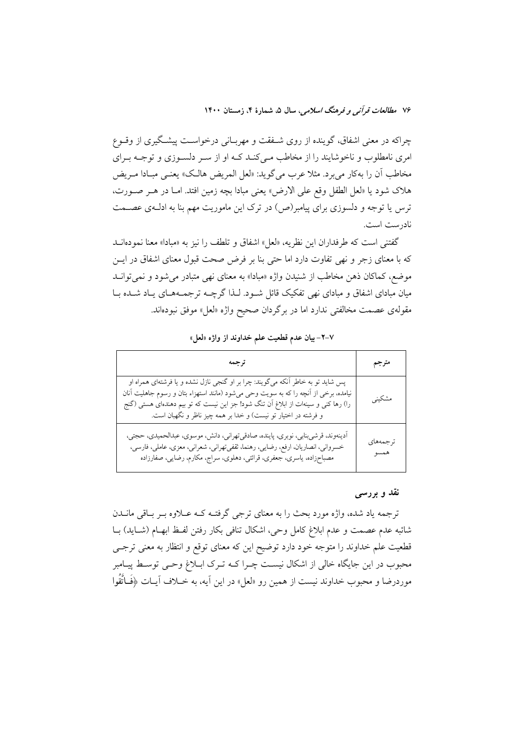چراکه در معنی اشفاق، گوینده از روی شـفقت و مهربـانی درخواسـت پیشـگیری از وقـوع امری نامطلوب و ناخوشایند را از مخاطب مـی کنـد کـه او از سـر دلسـوزی و توجـه بـرای مخاطب آن را بهكار مىبرد. مثلا عرب مى گويد: «لعل المريض هالك» يعنـى مبـادا مـريض هلاك شود يا «لعل الطفل وقع على الارض» يعني مبادا بچه زمين افتد. امـا در هـر صـورت، ترس یا توجه و دلسوزی برای پیامبر(ص) در ترک این ماموریت مهم بنا به ادلـهی عصــمت نادرست است.

گفتنی است که طرفداران این نظریه، «لعل» اشفاق و تلطف را نیز به «مبادا» معنا نمودهانــد که با معنای زجر و نهی تفاوت دارد اما حتی بنا بر فرض صحت قبول معنای اشفاق در ایــن موضع، كماكان ذهن مخاطب از شنيدن واژه «مبادا» به معناي نهى متبادر مى شود و نمى توانــد میان مبادای اشفاق و مبادای نهی تفکیک قائل شـود. لـذا گرچــه ترجمــههـای پــاد شــده بــا مقولهی عصمت مخالفتی ندارد اما در برگردان صحیح واژه «لعل» موفق نبودهاند.

|  |  |  |  |  |  | 7–۲– بيان عدم قطعيت علم خداوند از واژه «لعل» |  |  |  |
|--|--|--|--|--|--|----------------------------------------------|--|--|--|
|--|--|--|--|--|--|----------------------------------------------|--|--|--|

| ترجمه                                                                                                                                                                                                                                                                                                                          | مترجم            |
|--------------------------------------------------------------------------------------------------------------------------------------------------------------------------------------------------------------------------------------------------------------------------------------------------------------------------------|------------------|
| پس شاید تو به خاطر أنکه میگویند: چرا بر او گنجی نازل نشده و یا فرشتهای همراه او<br>نیامده، برخی از آنچه را که به سویت وحی میشود (مانند استهزاء بتان و رسوم جاهلیت آنان<br>را) رها کنی و سینهات از ابلاغ اّن تنگ شود! جز این نیست که تو بیم دهندهای هستی (گنج<br>و فرشته در اختیار تو نیست) و خدا بر همه چیز ناظر و نگهبان است. | مشكيني           |
| أدینەوند، قرشیبنابی، نوبری، پاینده، صادقیتهرانی، دانش، موسوی، عبدالحمیدی، حجتی،<br>خسرواني، انصاريان، ارفع، رضايي، رهنما، ثقفي تهراني، شعراني، معزي، عاملي، فارسي،<br>مصباحزاده، یاسری، جعفری، قرائتی، دهلوی، سراج، مکارم، رضایی، صفارزاده                                                                                     | ترجمههاى<br>همسو |

## نقد و بررسی

ترجمه ياد شده، واژه مورد بحث را به معناي ترجى گرفتـه كـه عــلاوه بــر بــاقى مانــدن شائبه عدم عصمت و عدم ابلاغ كامل وحيى، اشكال تنافى بكار رفتن لفـظ ابهــام (شــايد) بــا قطعیت علم خداوند را متوجه خود دارد توضیح این که معنای توقع و انتظار به معنی ترجــی محبوب در این جایگاه خالی از اشکال نیست چــرا کــه تــرک ابــلاغ وحــی توســط پیــامبر موردرضا و محبوب خداوند نیست از همین رو «لعل» در این آیه، به خــلاف آیــات ﴿فَــاتَّقُوا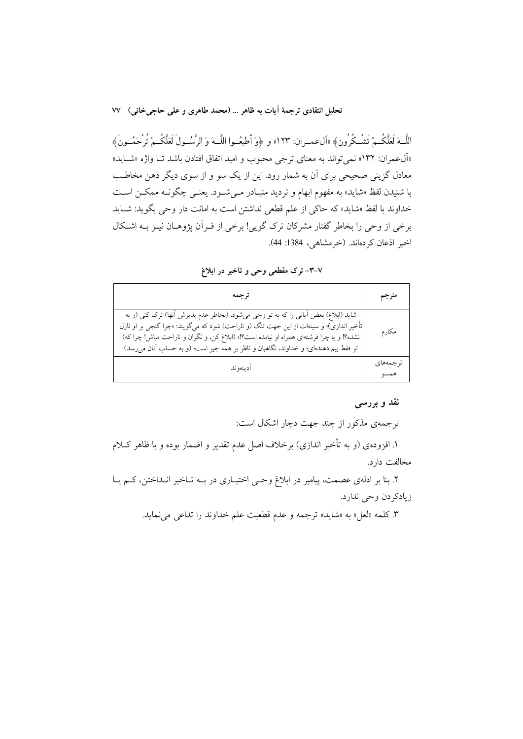تحليل انتقادي ترجمة آيات به ظاهر … (محمد طاهري و على حاجي خاني) ٧٧

اللَّــهَ لَعَلَّكُــمْ تَشْــكُرُون﴾ «آلءمــران: ١٢٣» و ﴿وَ أَطيعُــوا اللَّــهَ وَ الرَّسُــولَ لَعَلَّكُــمْ تُرحَمُــونَ﴾ «آلِعمران: ١٣٢» نمي تواند به معناي ترجى محبوب و اميد اتفاق افتادن باشد تــا واژه «شــايد» معادل گزینی صحیحی برای آن به شمار رود. این از یک سو و از سوی دیگر ذهن مخاطـب با شنیدن لفظ «شاید» به مفهوم ابهام و تردید متبـادر مـیشـود. یعنـی چگونـه ممکــن اســت خداوند با لفظ «شاید» که حاکی از علم قطعی نداشتن است به امانت دار وحی بگوید: شـاید برخی از وحی را بخاطر گفتار مشرکان ترک گویی! برخی از قبرآن پژوهـان نیـز بـه اشـکال اخير اذعان كردهاند. (خرمشاهي، 1384: 44).

۷–۳– ترک مقطعی وحی و تاخیر در ابلاغ

| ترجمه                                                                                                                                                                                                                                                                                                                                                           | مترجم             |
|-----------------------------------------------------------------------------------------------------------------------------------------------------------------------------------------------------------------------------------------------------------------------------------------------------------------------------------------------------------------|-------------------|
| شاید (ابلاغ) بعض أیاتی را که به تو وحی میشود، (بخاطر عدم پذیرش أنها) ترک کنی (و به<br>تأخیر اندازی)؛ و سینهات از این جهت تنگ (و ناراحت) شود که میگویند: «چرا گنجی بر او نازل<br>نشده؟! و یا چرا فرشتهای همراه او نیامده است؟!» (ابلاغ کن، و نگران و ناراحت مباش! چرا که)<br>تو فقط بیم دهندهای؛ و خداوند، نگاهبان و ناظر بر همه چیز است؛ (و به حساب آنان میرسد) | مكارم             |
| أدينهوند                                                                                                                                                                                                                                                                                                                                                        | تر جمەھاي<br>همسو |

## نقد و بررسی

ترجمهی مذکور از چند جهت دچار اشکال است:

۱. افزودهی (و به تأخیر اندازی) برخلاف اصل عدم تقدیر و اضمار بوده و با ظاهر ک $\mathcal{C}$ م مخالفت دارد.

۲. بنا بر ادلهی عصمت، پیامبر در ابلاغ وحـی اختیــاری در بــه تــاخیر انــداختن، کــم یــا زيادكردن وحي ندارد.

٣. كلمه «لعل» به «شايد» ترجمه و عدم قطعيت علم خداوند را تداعى مى نمايد.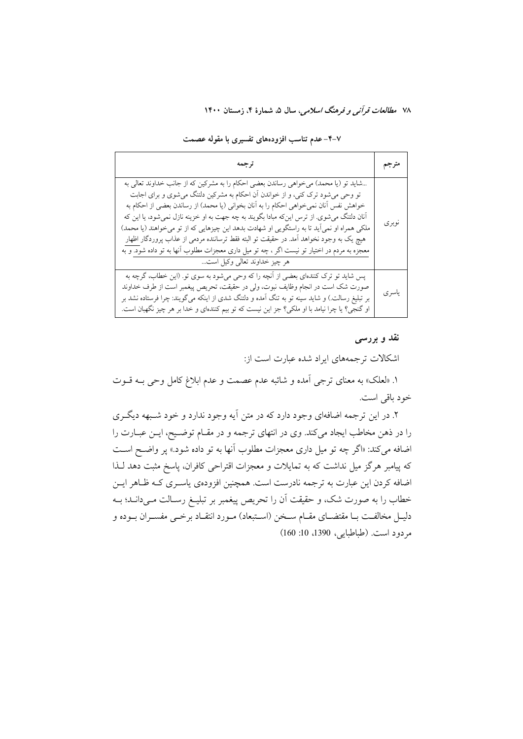| ترجمه                                                                                                                                                                                                                                                                                                                                                                                                                                                                                                                                                                                                                                                                             | مترجم  |
|-----------------------------------------------------------------------------------------------------------------------------------------------------------------------------------------------------------------------------------------------------------------------------------------------------------------------------------------------------------------------------------------------------------------------------------------------------------------------------------------------------------------------------------------------------------------------------------------------------------------------------------------------------------------------------------|--------|
| …شاید تو (یا محمد) میخواهی رساندن بعضی احکام را به مشرکین که از جانب خداوند تعالی به<br>تو وحی میشود ترک کنی، و از خواندن اَن احکام به مشرکین دلتنگ میشوی و برای اجابت<br>خواهش نفس أنان نميخواهي احكام را به أنان بخواني (يا محمد) از رساندن بعضي از احكام به<br>آنان دلتنگ میشوی. از ترس اینکه مبادا بگویند به چه جهت به او خزینه نازل نمیشود، یا این که<br>ملکی همراه او نمیآید تا به راستگویی او شهادت بدهد این چیزهایی که از تو میخواهند (یا محمد)<br>هیچ یک به وجود نخواهد اَمد. در حقیقت تو البته فقط ترساننده مردمی از عذاب پروردگار اظهار<br>معجزه به مردم در اختیار تو نیست اگر ، چه تو میل داری معجزات مطلوب آنها به تو داده شود. و به<br>هر چیز خداوند تعالی وکیل است | نوبري  |
| پس شاید تو ترک کنندهای بعضی از آنچه را که وحی میشود به سوی تو. (این خطاب، گرچه به<br>صورت شک است در انجام وظایف نبوت، ولی در حقیقت، تحریص پیغمبر است از طرف خداوند<br>بر تبلیغ رسالت.) و شاید سینه تو به تنگ آمده و دلتنگ شدی از اینکه میگویند: چرا فرستاده نشد بر<br>او گنجی؟ یا چرا نیامد با او ملکی؟ جز این نیست که تو بیم کنندهای و خدا بر هر چیز نگهبان است.                                                                                                                                                                                                                                                                                                                 | ياسر ي |

۷–۴–عدم تناسب افزودههای تفسیری با مقوله عصمت

### نقد و بررسی

اشکالات ترجمههای ایراد شده عبارت است از:

۱. «لعلک» به معنای ترجی آمده و شائبه عدم عصمت و عدم ابلاغ کامل وحی بــه قــوت خود باقي است.

۲. در این ترجمه اضافهای وجود دارد که در متن آیه وجود ندارد و خود شـبهه دیگـری را در ذهن مخاطب ایجاد میکند. وی در انتهای ترجمه و در مقـام توضـیح، ایــن عبــارت را اضافه می کند: «اگر چه تو میل داری معجزات مطلوب آنها به تو داده شود.» پر واضـح اسـت که پیامبر هرگز میل نداشت که به تمایلات و معجزات اقتراحی کافران، پاسخ مثبت دهد لـذا اضافه کردن این عبارت به ترجمه نادرست است. همچنین افزودهی یاسـری کـه ظـاهر ایـن خطاب را به صورت شک، و حقیقت آن را تحریص پیغمبر بر تبلیـغ رسـالت مـیدانـد؛ بــه دليـل مخالفـت بـا مقتضـاي مقـام سـخن (اسـتبعاد) مـورد انتقـاد برخـي مفســران بــوده و مردود است. (طباطبایی، 1390، 10: 160)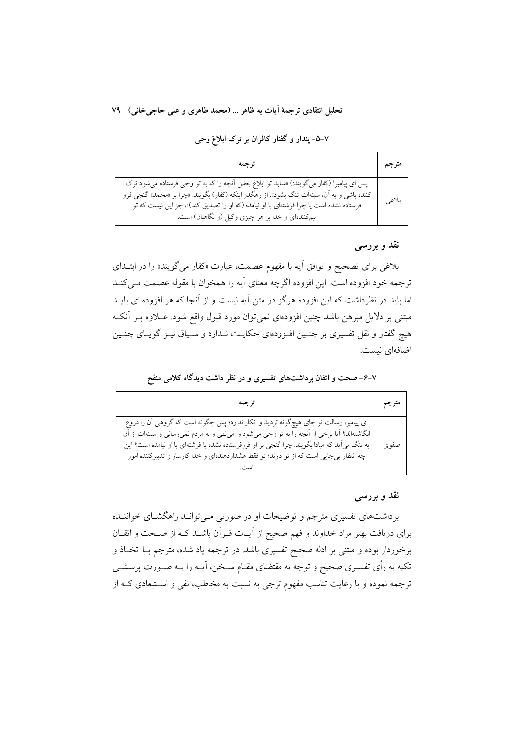تحلیل انتقادی ترجمهٔ آیات به ظاهر ... (محمد طاهری و علمی حاجی خانی) ۷۹

| √–۵– پندار و گفتار کافران بر ترک ابلاغ وحی |  |  |  |  |  |  |  |
|--------------------------------------------|--|--|--|--|--|--|--|
|--------------------------------------------|--|--|--|--|--|--|--|

| ترجمه                                                                                                                                                                                                                                                                                                                                 | مترجم |
|---------------------------------------------------------------------------------------------------------------------------------------------------------------------------------------------------------------------------------------------------------------------------------------------------------------------------------------|-------|
| پس ای پیامبر! (کفار میگویند:) «شاید تو ابلاغ بعض آنچه را که به تو وحی فرستاده میشود ترک<br>کننده باشی و به آن، سینهات تنگ بشود». از رهگذر اینکه (کفار) بگویند: «چرا بر «محمد» گنجی فرو<br>فرستاده نشده است یا چرا فرشتهای با او نیامده (که او را تصدیق کند)»، جز این نیست که تو<br>بیم کنندهای و خدا بر هر چیزی وکیل (و نگاهبان) است. | بلاغى |

### نقد و بررسی

بلاغی برای تصحیح و توافق آیه با مفهوم عصمت، عبارت «کفار میگویند» را در ابتــدای ترجمه خود افزوده است. این افزوده اگرچه معنای آیه را همخوان با مقوله عصمت مـیکنـد اما باید در نظرداشت که این افزوده هرگز در متن آیه نیست و از آنجا که هر افزوده ای بایــد مبتنی بر دلایل مبرهن باشد چنین افزودهای نمیٍتوان مورد قبول واقع شود. عــلاوه بــر آنکــه هیچ گفتار و نقل تفسیری بر چنــین افــزودهای حکایــت نــدارد و ســیاق نیــز گویــای چنــین اضافهای نبست.

۷–۶–صحت و اتقان برداشتهای تفسیری و در نظر داشت دیدگاه کلامی منقح

| ترجمه                                                                                                                                                                                                                                                                                                                                                                             | مترجم |
|-----------------------------------------------------------------------------------------------------------------------------------------------------------------------------------------------------------------------------------------------------------------------------------------------------------------------------------------------------------------------------------|-------|
| ای پیامبر، رسالت تو جای هیچگونه تردید و انکار ندارد؛ پس چگونه است که گروهی اّن را دروغ<br>انگاشتهاند؟ آیا برخی از آنچه را به تو وحی میشود وا مینهی و به مردم نمیرسانی و سینهات از ان<br>به تنگ میآید که مبادا بگویند: چرا گنجی بر او فروفرستاده نشده یا فرشتهای با او نیامده است؟ این<br>چه انتظار بی جایی است که از تو دارند؛ تو فقط هشداردهندهای و خدا کارساز و تدبیرکننده امور | صفو ی |

### نقد و بررسی

برداشتهای تفسیری مترجم و توضیحات او در صورتی مـیتوانـد راهگشــای خواننــده برای دریافت بهتر مراد خداوند و فهم صحیح از آیـات قـراَن باشــد کــه از صــحت و اتقــان برخوردار بوده و مبتنی بر ادله صحیح تفسیری باشد. در ترجمه یاد شده، مترجم بــا اتخــاذ و .<br>تکیه به رأی تفسیری صحیح و توجه به مقتضای مقــام ســخن، آیــه را بــه صــورت پرسشــی ترجمه نموده و با رعایت تناسب مفهوم ترجی به نسبت به مخاطب، نفی و اسـتبعادی کــه از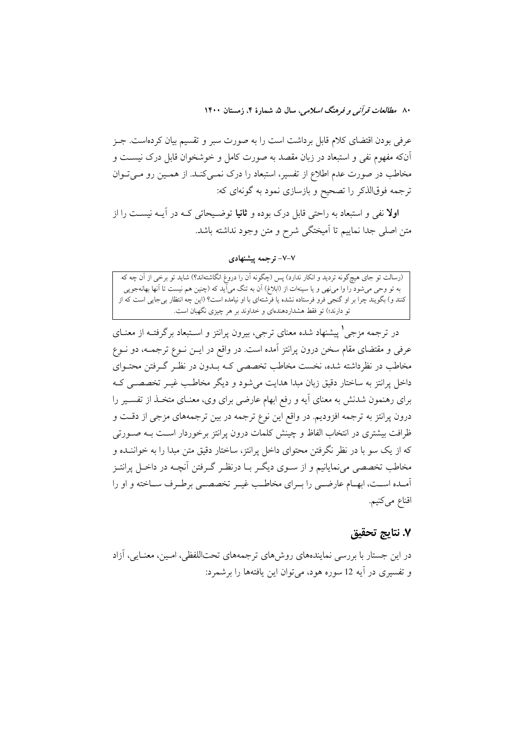عرفی بودن اقتضای کلام قابل برداشت است را به صورت سبر و تقسیم بیان کردهاست. جــز اّنکه مفهوم نفی و استبعاد در زبان مقصد به صورت کامل و خوشخوان قابل درک نیســت و مخاطب در صورت عدم اطلاع از تفسیر، استبعاد را درک نمـیکنـد. از همـین رو مـیتـوان ترجمه فوقالذکر را تصحیح و بازسازی نمود به گونهای که:

**اولا** نفی و استبعاد به راحتی قابل درک بوده و **ثانیا** توضیحاتی کـه در آیــه نیســت را از متن اصلی جدا نماییم تا آمیختگی شرح و متن وجود نداشته باشد.

۷–۷– تر حمه پشنهادی

(رسالت تو جای هیچگونه تردید و انکار ندارد) پس (چگونه آن را دروغ انگاشتهاند؟) شاید تو برخی از آن چه که به تو وحی میشود را وا می نهی و یا سینهات از (ابلاغ) آن به تنگ میآید که (چنین هم نیست تا آنها بهانهجویی کنند و) بگویند چرا بر او گنجی فرو فرستاده نشده یا فرشتهای با او نیامده است؟ (این چه انتظار بیجایی است که از تو دارند؛) تو فقط هشداردهندهای و خداوند بر هر چیزی نگهبان است.

در ترجمه مزجی' پیشنهاد شده معنای ترجی، بیرون پرانتز و اسـتبعاد برگرفتــه از معنــای عرفی و مقتضای مقام سخن درون پرانتز آمده است. در واقع در ایــن نــوع ترجمــه، دو نــوع مخاطب در نظرداشته شده، نخست مخاطب تخصصی کـه بــدون در نظـر گــرفتن محتــوای داخل پرانتز به ساختار دقیق زبان مبدا هدایت میشود و دیگر مخاطب غیــر تخصصــی کــه برای رهنمون شدنش به معنای آیه و رفع ابهام عارضی برای وی، معنـای متخـذ از تفســیر را درون پرانتز به ترجمه افزودیم. در واقع این نوع ترجمه در بین ترجمههای مزجی از دقـت و ظرافت بیشتری در انتخاب الفاظ و چینش کلمات درون پرانتز برخوردار اسـت بــه صــورتی که از یک سو با در نظر نگرفتن محتوای داخل پرانتز، ساختار دقیق متن مبدا را به خواننـده و مخاطب تخصصی میiمایانیم و از سـوی دیگـر بــا درنظـر گــرفتن آنچــه در داخــل پرانتــز آمـده اســت، ابهــام عارضــي را بــراي مخاطــب غيــر تخصصــي برطــرف ســاخته و او را اقناع ميكنيم.

## ٧. نتايج تحقيق

در این جستار با بررسی نمایندههای روشهای ترجمههای تحتاللفظی، امـین، معنـایی، آزاد و تفسیری در آیه 12 سوره هود، می توان این یافتهها را برشمرد: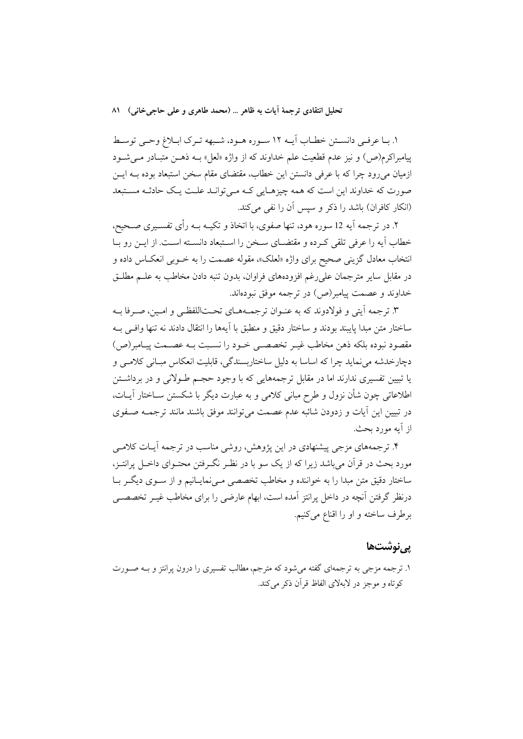تحليل انتقادي ترجمة آيات به ظاهر ... (محمد طاهري و على حاجي خاني) ٨١

١. بـا عرفـي دانسـتن خطـاب اّيــه ١٢ سـوره هــود، شـبهه تـرك ابـلاغ وحـي توسـط پیامبراکرم(ص) و نیز عدم قطعیت علم خداوند که از واژه «لعل» بــه ذهــن متبــادر مــی شــود ازمیان میرود چرا که با عرفی دانستن این خطاب، مقتضای مقام سخن استبعاد بوده بـه ایــن صورت که خداوند این است که همه چیزهایی کـه مـی توانـد علـت یـک حادثـه مسـتبعد (انکار کافران) باشد را ذکر و سپس آن را نفی میکند.

۲. در ترجمه آیه 12 سوره هود، تنها صفوی، با اتخاذ و تکیــه بــه رأی تفســیری صــحیح، خطاب آيه را عرفي تلقى كـرده و مقتضـاي سـخن را اسـتبعاد دانسـته اسـت. از ايـن رو بـا انتخاب معادل گزینی صحیح برای واژه «لعلک»، مقوله عصمت را به خـوبی انعکـاس داده و در مقابل سایر مترجمان علی رغم افزودههای فراوان، بدون تنبه دادن مخاطب به علــم مطلــق خداوند و عصمت پيامبر (ص) در ترجمه موفق نيودهاند.

۳. ترجمه آیتی و فولادوند که به عنـوان ترجمـههـای تحـتاللفظـی و امـین، صـرفا بـه ساختار متن مبدا پايبند بودند و ساختار دقيق و منطبق با آيهها را انتقال دادند نه تنها وافــي بــه مقصود نبوده بلكه ذهن مخاطب غيـر تخصصـي خـود را نسـبت بــه عصــمت پيــامبر(ص) دچار خدشه می نماید چرا که اساسا به دلیل ساختار بسندگی، قابلیت انعکاس میبانی کلامبی و یا تبیین تفسیری ندارند اما در مقابل ترجمههایی که با وجود حجـم طــولانی و در برداشــتن اطلاعاتی چون شأن نزول و طرح مبانی کلامی و به عبارت دیگر با شکستن ســاختار آیــات، در تبیین این آیات و زدودن شائبه عدم عصمت میتوانند موفق باشند مانند ترجمـه صـفوی از آبه مورد بحث.

۴. ترجمههای مزجی پیشنهادی در این پژوهش، روشی مناسب در ترجمه آیــات کلامــی مورد بحث در قرآن میباشد زیرا که از یک سو با در نظـر نگــرفتن محتــوای داخــل پرانتــز، ساختار دقیق متن مبدا را به خواننده و مخاطب تخصصی مـیiمایـانیم و از سـوی دیگـر بـا درنظر گرفتن آنچه در داخل پرانتز آمده است، ابهام عارضی را برای مخاطب غیـر تخصصــی برطرف ساخته و او را اقناع میکنیم.

## <u>یے نوشتھا</u>

۱. ترجمه مزجی به ترجمهای گفته می شود که مترجم، مطالب تفسیری را درون پرانتز و بـه صـورت کو تاه و موجز در لايهلاي الفاظ قرآن ذکر مرکند.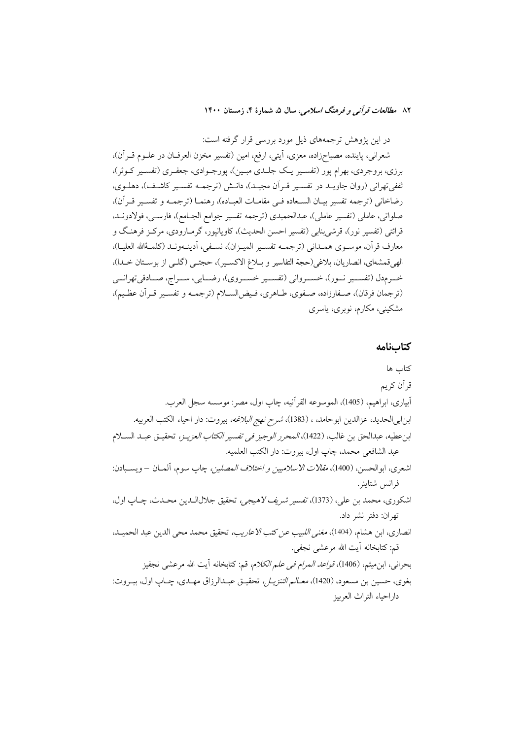در این پژوهش ترجمههای ذیل مورد بررسی قرار گرفته است:

شعراني، پاينده، مصباحزاده، معزى، آيتي، ارفع، امين (تفسير مخزن العرفـان در علــوم قــرأن)، برزي، بروجردي، بهرام پور (تفسير يـک جلـدي مبـين)، پورجـوادي، جعفـري (تفسـير كـوثر)، ثقفیتهرانی (روان جاویــد در تفســیر قــراَن مجیــد)، دانــش (ترجمــه تفســیر کاشــف)، دهلــوی، رضاخاني (ترجمه تفسير بيـان السـعاده فـي مقامـات العبـاده)، رهنمـا (ترجمـه و تفسـير قـراَن)، صلواتي، عاملي (تفسير عاملي)، عبدالحميدي (ترجمه تفسير جوامع الجـامع)، فارسـي، فولادونـد. قرائتي (تفسير نور)، قرشي،نابي (تفسير احسن الحديث)، كاويانپور، گرمـارودي، مركـز فرهنـگ و معارف قرآن، موسـوي همـداني (ترجمــه تفســير الميــزان)، نســفي، أدينــهونــد (كلمــۀالله العليــا)، الهي قمشهاي، انصاريان، بلاغي(حجة التفاسير و بـلاغ الاكسـير)، حجتـي (گلـي از بوسـتان خـدا)، .<br>خسر م<sup>ا</sup>ل (تفسسير نسور)، خسسرواني (تفسسير خسسروي)، رضسايي، سسراج، صسادقي تهرانسي (ترجمان فرقان)، صـفارزاده، صـفوي، طـاهري، فـيض|لسـلام (ترجمـه و تفسـير قـرأن عظـيم)، مشکینی، مکارم، نوبری، یاسری

### كتابنامه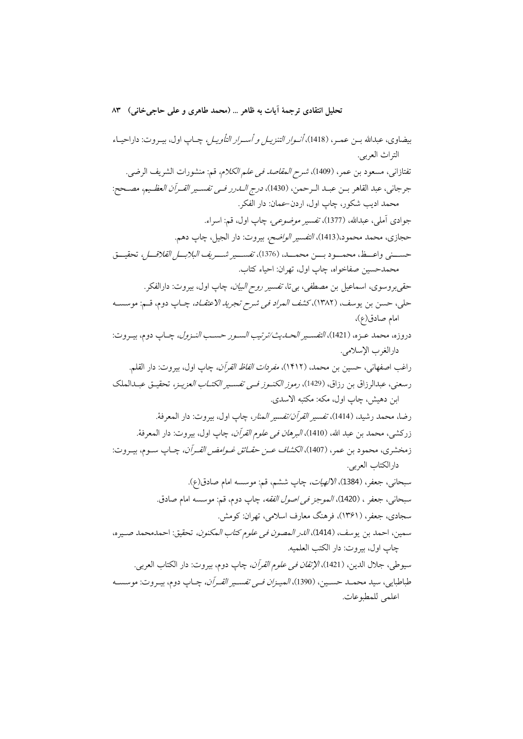### تحليل انتقادي ترجمهٔ آيات به ظاهر ... (محمد طاهري و على حاجي خاني) ٨٣

بيضاوي، عبدالله بـــن عمــر، (1418)، *أنــوار التنزيــل و أســـرار التأويــل* عجــاب اول، بيــروت: داراحيــاء التراث العربي. تفتازاني، مسعود بن عمر، (1409)، *شرح المقاصد في علم الكلام،* قم: منشورات الشريف الرضي. جرجاني، عبد القاهر بــن عبــد الـرحمن، (1430)، *درج الــدرر فــي تفســير القــرآن العظـ*يم، مصــحج: محمد اديب شكور، چاپ اول، اردن-عمان: دار الفكر. جوادي آملي، عبدالله، (1377)، تفسير *موضوعي،* چاپ اول، قم: اسراء. حجازي، محمد محمود،(1413)، *التفسير الواضح،* بيروت: دار الجيل، چاپ دهم. حسب في واعب **ظ**، محمد و دبسن محمله، (1376)، *تفسيير شب بف البلايسل القلاقسل،* تحقيسق محمدحسين صفاخواه، چاپ اول، تهران: احياء كتاب. حقي بروسوي، اسماعيل بن مصطفى، بي تا، *تفسير روح البيان،* چاپ اول، بيروت: دارالفكر. حلي، حسن بن يوسف، (١٣٨٢)، كش*ف المراد في شرح تجريد الاعتقـاد،* چـاپ دوم، قـم: موسسـه امام صادق(ع). دروزه، محمد عــزه، (1421)، *التفســير الحــديث/ترتيب الســور حســب النــزول،* چــاب دوم، بيــروت: دارالغرب الإسلامي. راغب اصفهاني، حسين بن محمد، (١۴١٢)، *مفردات الفاظ القرآن،* چاپ اول، بيروت: دار القلم. رسعني، عبدالرزاق بن رزاق، (1429)، *رموز الكنـوز فـي تفسـير الكتـاب العزيــز،* تحقيــق عبــدالملك ابن دهيش، چاپ اول، مکه: مکتبه الاسدي. رضا، محمد رشيد، (1414)، *تفسير القرآن/تفسير المنار*، چاپ اول، بيروت: دار المعرفة. زركشي، محمد بن عبد الله، (1410)، *البرهان في علوم القرآن،* چاپ اول، بيروت: دار المعرفهٔ. زمخشري، محمود بن عمر، (1407)، *الكشاف عـن حقــائق غــوامض القــراَن،* چــاپ ســوم، بيــروت: دارالكتاب العربي. سبحاني، جعفر، (1384)، *الالهيات،* چاپ ششم، قم: موسسه امام صادق(ع). سبحاني، جعفر ، (1420)، *الموجز في اصول الفقه،* چاپ دوم، قم: موسسه امام صادق. سجادی، جعفر، (۱۳۶۱)، فرهنگ معارف اسلامی، تهران: کومش. سمين، احمد بن يوسف، (1414)، *الدر المصون في علوم كتاب المكنون،* تحقيق: احمدمحمد صـيره، چاپ اول، بيروت: دار الكتب العلميه. سيوطي، جلال الدين، (1421)، *الإتقان في علوم القرآن،* چاپ دوم، بيروت: دار الكتاب العربي. طباطباي<sub>ه ،</sub>، سيد محمـد حسـين، (1390)، *الميـزان فـي تفسـير القـرآن،* چـاپ دوم، بيـروت: موسسـه اعلمي للمطبوعات.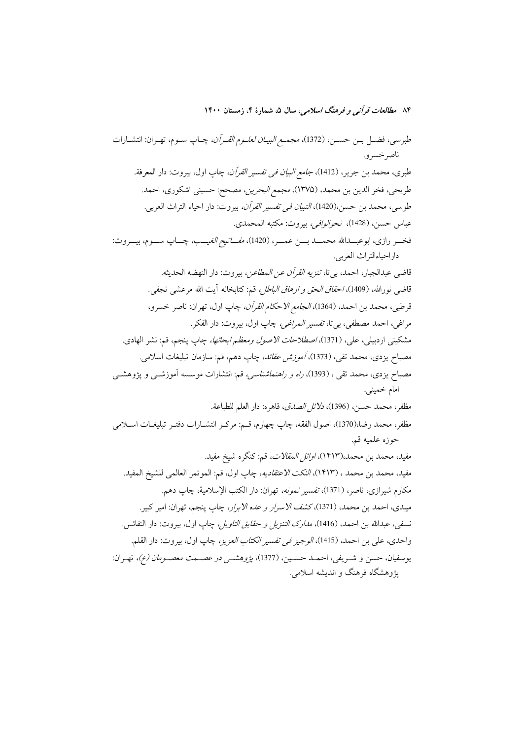۸۴ م*طالعات قرآن<sub>ه ،</sub> و فرهنگ اسلامی*، سال ۵، شمارهٔ ۴، زمستان ۱۴۰۰

طبرسي، فضــل بــن حســن، (1372)، *مجمــع البيــان لعلــوم القــران،* چــاپ ســوم، تهــران: انتشــارات ناصر خسر و. طبري، محمد بن جرير، (1412)، *جامع البيان في تفسير القرآن،* چاپ اول، بيروت: دار المعرفة. طريحي، فخر الدين بن محمد، (١٣٧۵)، *مجمع البحرين*، مصحح: حسيني اشكوري، احمد. طوسي، محمد بن حسن،(1420)، *التبيان في تفسير القرآن،* بيروت: دار احياء التراث العربي. عباس حسن، (1428)، *نحوالوافي،* بيروت: مكتبه المحمدي. فخـــر رازى، ابوعبـــدالله محمــــد بــــن عمــــر، (1420)، *مفـــاتيح الغيــــب، چــ*ـاپ ســــوم، بيــــروت: دار احیاءالتر اث العربي. قاضي عبدالجبار، احمد، بي تا، *تنزيه القرآن عن المطاعن،* بيروت: دار النهضه الحديثه. قاضي نورالله، (1409)، *احقاق الحق و ازهاق الباطل*، قم: كتابخانه آيت الله مرعشي نجفي. قرطبي، محمد بن احمد، (1364)، *الجامع الاحكام القرآن،* چاپ اول، تهران: ناصر خسرو، مراغي، احمد مصطفى، بي تا، تفسير *المراغي،* چاپ اول، بيروت: دار الفكر. مشكيني اردبيلي، علي، (1371)، *اصطلاحات الاصول ومعظم ابحاثها،* چاپ پنجم، قم: نشر الهادي. مصباح يزدي، محمد تقي، (1373)، *أموزش عقائد،* چاپ دهم، قم: سازمان تبليغات اسلامي. مصباح يزدى، محمد تقى ، (1393)، *راه و راهنماشناسى،* قم: انتشارات موسسه آموزشــى و پژوهشــى امام خميني. مظفر، محمد حسن، (1396)، *دلائل الصدق*، قاهره: دار العلم للطباعة. مظفر، محمد رضا،(1370)، اصول الفقه، چاپ چهارم، قــم: مركـز انتشــارات دفتـر تبليغــات اســلامى حوزه علميه قم. مفيد، محمد بن محمد،(١۴١٣)، *اوائل المقالات،* قم: كنگره شيخ مفيد. مفيد، محمد بن محمد ، (١۴١٣)، *النكت الاعتقاديه*، چاپ اول، قم: الموتمر العالمي للشيخ المفيد. مكارم شيرازي، ناصر، (1371)، *تفسير نمونه،* تهران: دار الكتب الإسلامية، چاپ دهم. ميبدي، احمد بن محمد، (1371)، كش*ف الاسرار و عده الابرار*، چاپ ينجم، تهران: امير كبير . نسفي، عبدالله بن احمد، (1416)، *مدارك التنزيل و حقايق التاويل*، جاب اول، بي<sub>د</sub>وت: دار النفائس. واحدى، على بن احمد، (1415)، *الوجيز في تفسير الكتاب العزيز،* چاپ اول، بيروت: دار القلم. يوسفيان، حسن و شـريفي، احمـد حسـين، (1377)، يژوهشــي در عصــمت معصـوم*ان (ع)،* تهـران: یژوهشگاه فرهنگ و اندیشه اسلامی.